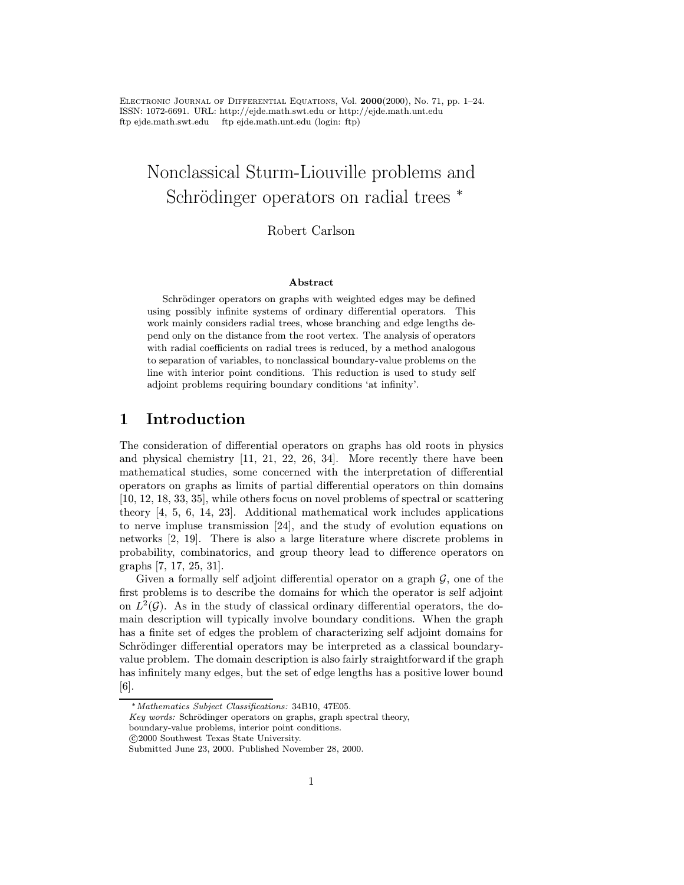Electronic Journal of Differential Equations, Vol. 2000(2000), No. 71, pp. 1–24. ISSN: 1072-6691. URL: http://ejde.math.swt.edu or http://ejde.math.unt.edu ftp ejde.math.swt.edu ftp ejde.math.unt.edu (login: ftp)

# Nonclassical Sturm-Liouville problems and Schrödinger operators on radial trees <sup>\*</sup>

### Robert Carlson

#### Abstract

Schrödinger operators on graphs with weighted edges may be defined using possibly infinite systems of ordinary differential operators. This work mainly considers radial trees, whose branching and edge lengths depend only on the distance from the root vertex. The analysis of operators with radial coefficients on radial trees is reduced, by a method analogous to separation of variables, to nonclassical boundary-value problems on the line with interior point conditions. This reduction is used to study self adjoint problems requiring boundary conditions 'at infinity'.

# 1 Introduction

The consideration of differential operators on graphs has old roots in physics and physical chemistry [11, 21, 22, 26, 34]. More recently there have been mathematical studies, some concerned with the interpretation of differential operators on graphs as limits of partial differential operators on thin domains [10, 12, 18, 33, 35], while others focus on novel problems of spectral or scattering theory [4, 5, 6, 14, 23]. Additional mathematical work includes applications to nerve impluse transmission [24], and the study of evolution equations on networks [2, 19]. There is also a large literature where discrete problems in probability, combinatorics, and group theory lead to difference operators on graphs [7, 17, 25, 31].

Given a formally self adjoint differential operator on a graph  $G$ , one of the first problems is to describe the domains for which the operator is self adjoint on  $L^2(\mathcal{G})$ . As in the study of classical ordinary differential operators, the domain description will typically involve boundary conditions. When the graph has a finite set of edges the problem of characterizing self adjoint domains for Schrödinger differential operators may be interpreted as a classical boundaryvalue problem. The domain description is also fairly straightforward if the graph has infinitely many edges, but the set of edge lengths has a positive lower bound [6].

<sup>∗</sup>Mathematics Subject Classifications: 34B10, 47E05.

 $Key words: Schrödinger operators on graphs, graph spectral theory,$ 

boundary-value problems, interior point conditions.

c 2000 Southwest Texas State University.

Submitted June 23, 2000. Published November 28, 2000.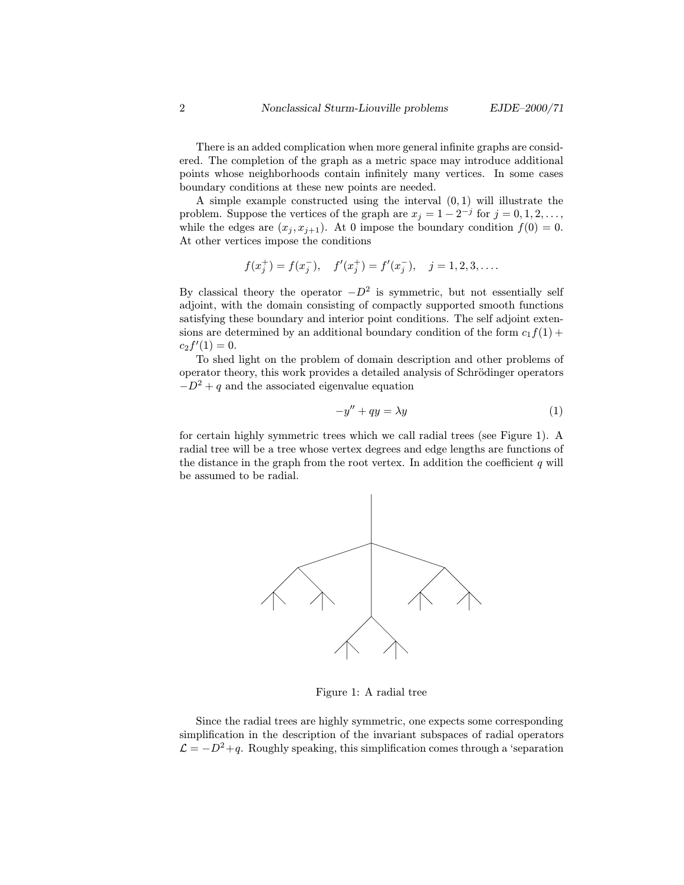There is an added complication when more general infinite graphs are considered. The completion of the graph as a metric space may introduce additional points whose neighborhoods contain infinitely many vertices. In some cases boundary conditions at these new points are needed.

A simple example constructed using the interval  $(0, 1)$  will illustrate the problem. Suppose the vertices of the graph are  $x_j = 1 - 2^{-j}$  for  $j = 0, 1, 2, \ldots$ , while the edges are  $(x_j, x_{j+1})$ . At 0 impose the boundary condition  $f(0) = 0$ . At other vertices impose the conditions

$$
f(x_j^+) = f(x_j^-), \quad f'(x_j^+) = f'(x_j^-), \quad j = 1, 2, 3, \dots
$$

By classical theory the operator  $-D^2$  is symmetric, but not essentially self adjoint, with the domain consisting of compactly supported smooth functions satisfying these boundary and interior point conditions. The self adjoint extensions are determined by an additional boundary condition of the form  $c_1f(1)$  +  $c_2 f'(1) = 0.$ 

To shed light on the problem of domain description and other problems of operator theory, this work provides a detailed analysis of Schrödinger operators  $-D^2 + q$  and the associated eigenvalue equation

$$
-y'' + qy = \lambda y \tag{1}
$$

for certain highly symmetric trees which we call radial trees (see Figure 1). A radial tree will be a tree whose vertex degrees and edge lengths are functions of the distance in the graph from the root vertex. In addition the coefficient  $q$  will be assumed to be radial.



Figure 1: A radial tree

Since the radial trees are highly symmetric, one expects some corresponding simplification in the description of the invariant subspaces of radial operators  $\mathcal{L} = -D^2 + q$ . Roughly speaking, this simplification comes through a 'separation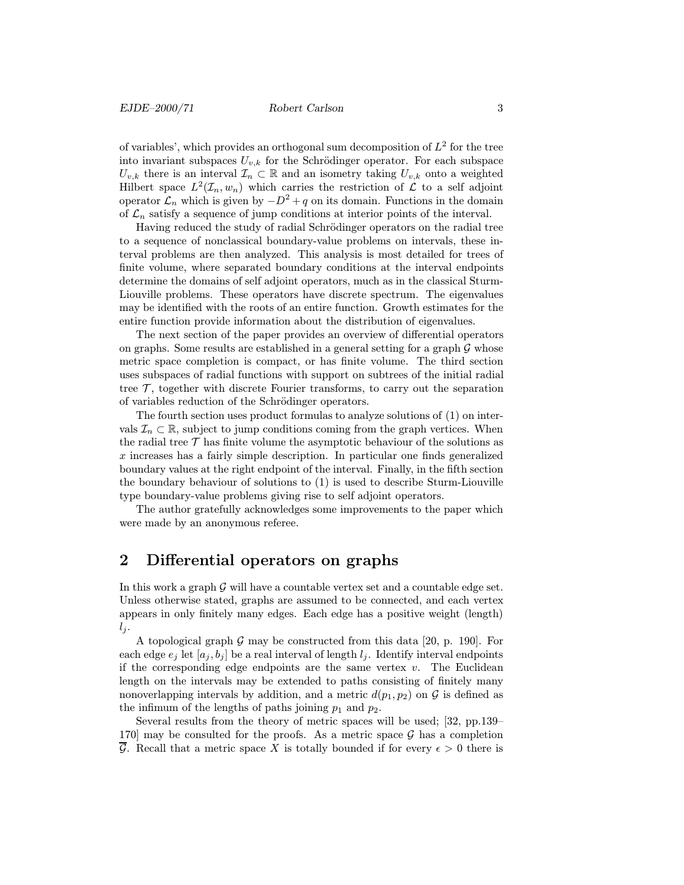of variables', which provides an orthogonal sum decomposition of  $L^2$  for the tree into invariant subspaces  $U_{v,k}$  for the Schrödinger operator. For each subspace  $U_{v,k}$  there is an interval  $\mathcal{I}_n \subset \mathbb{R}$  and an isometry taking  $U_{v,k}$  onto a weighted Hilbert space  $L^2(\mathcal{I}_n, w_n)$  which carries the restriction of  $\mathcal L$  to a self adjoint operator  $\mathcal{L}_n$  which is given by  $-D^2 + q$  on its domain. Functions in the domain of  $\mathcal{L}_n$  satisfy a sequence of jump conditions at interior points of the interval.

Having reduced the study of radial Schrödinger operators on the radial tree to a sequence of nonclassical boundary-value problems on intervals, these interval problems are then analyzed. This analysis is most detailed for trees of finite volume, where separated boundary conditions at the interval endpoints determine the domains of self adjoint operators, much as in the classical Sturm-Liouville problems. These operators have discrete spectrum. The eigenvalues may be identified with the roots of an entire function. Growth estimates for the entire function provide information about the distribution of eigenvalues.

The next section of the paper provides an overview of differential operators on graphs. Some results are established in a general setting for a graph  $\mathcal G$  whose metric space completion is compact, or has finite volume. The third section uses subspaces of radial functions with support on subtrees of the initial radial tree  $\mathcal{T}$ , together with discrete Fourier transforms, to carry out the separation of variables reduction of the Schrödinger operators.

The fourth section uses product formulas to analyze solutions of (1) on intervals  $\mathcal{I}_n \subset \mathbb{R}$ , subject to jump conditions coming from the graph vertices. When the radial tree  $\mathcal T$  has finite volume the asymptotic behaviour of the solutions as x increases has a fairly simple description. In particular one finds generalized boundary values at the right endpoint of the interval. Finally, in the fifth section the boundary behaviour of solutions to (1) is used to describe Sturm-Liouville type boundary-value problems giving rise to self adjoint operators.

The author gratefully acknowledges some improvements to the paper which were made by an anonymous referee.

# 2 Differential operators on graphs

In this work a graph  $\mathcal G$  will have a countable vertex set and a countable edge set. Unless otherwise stated, graphs are assumed to be connected, and each vertex appears in only finitely many edges. Each edge has a positive weight (length)  $l_i$ .

A topological graph  $\mathcal G$  may be constructed from this data [20, p. 190]. For each edge  $e_j$  let  $[a_j, b_j]$  be a real interval of length  $l_j$ . Identify interval endpoints if the corresponding edge endpoints are the same vertex  $v$ . The Euclidean length on the intervals may be extended to paths consisting of finitely many nonoverlapping intervals by addition, and a metric  $d(p_1, p_2)$  on G is defined as the infimum of the lengths of paths joining  $p_1$  and  $p_2$ .

Several results from the theory of metric spaces will be used; [32, pp.139– 170 may be consulted for the proofs. As a metric space  $\mathcal G$  has a completion  $\overline{\mathcal{G}}$ . Recall that a metric space X is totally bounded if for every  $\epsilon > 0$  there is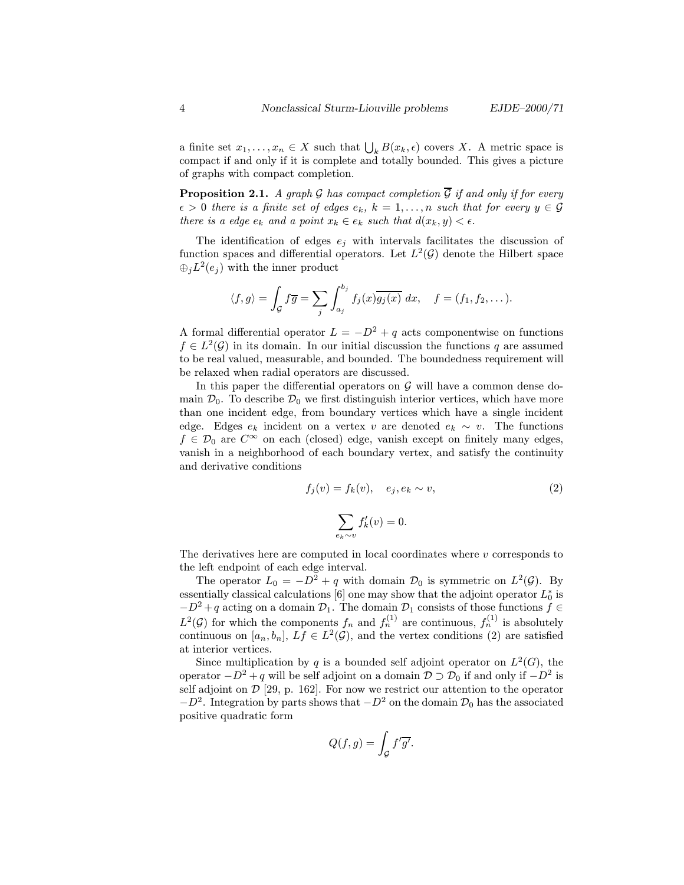a finite set  $x_1, \ldots, x_n \in X$  such that  $\bigcup_k B(x_k, \epsilon)$  covers X. A metric space is compact if and only if it is complete and totally bounded. This gives a picture of graphs with compact completion.

**Proposition 2.1.** A graph G has compact completion  $\overline{G}$  if and only if for every  $\epsilon > 0$  there is a finite set of edges  $e_k$ ,  $k = 1, \ldots, n$  such that for every  $y \in \mathcal{G}$ there is a edge  $e_k$  and a point  $x_k \in e_k$  such that  $d(x_k, y) < \epsilon$ .

The identification of edges  $e_j$  with intervals facilitates the discussion of function spaces and differential operators. Let  $L^2(\mathcal{G})$  denote the Hilbert space  $\bigoplus_i L^2(e_i)$  with the inner product

$$
\langle f, g \rangle = \int_{\mathcal{G}} f \overline{g} = \sum_{j} \int_{a_j}^{b_j} f_j(x) \overline{g_j(x)} dx, \quad f = (f_1, f_2, \dots).
$$

A formal differential operator  $L = -D^2 + q$  acts componentwise on functions  $f \in L^2(\mathcal{G})$  in its domain. In our initial discussion the functions q are assumed to be real valued, measurable, and bounded. The boundedness requirement will be relaxed when radial operators are discussed.

In this paper the differential operators on  $G$  will have a common dense domain  $\mathcal{D}_0$ . To describe  $\mathcal{D}_0$  we first distinguish interior vertices, which have more than one incident edge, from boundary vertices which have a single incident edge. Edges  $e_k$  incident on a vertex v are denoted  $e_k \sim v$ . The functions  $f \in \mathcal{D}_0$  are  $C^{\infty}$  on each (closed) edge, vanish except on finitely many edges, vanish in a neighborhood of each boundary vertex, and satisfy the continuity and derivative conditions

$$
f_j(v) = f_k(v), \quad e_j, e_k \sim v,\tag{2}
$$

$$
\sum_{e_k \sim v} f'_k(v) = 0.
$$

The derivatives here are computed in local coordinates where  $v$  corresponds to the left endpoint of each edge interval.

The operator  $L_0 = -D^2 + q$  with domain  $\mathcal{D}_0$  is symmetric on  $L^2(\mathcal{G})$ . By essentially classical calculations [6] one may show that the adjoint operator  $L_0^*$  is  $-D^2 + q$  acting on a domain  $\mathcal{D}_1$ . The domain  $\mathcal{D}_1$  consists of those functions  $f \in$  $L^2(\mathcal{G})$  for which the components  $f_n$  and  $f_n^{(1)}$  are continuous,  $f_n^{(1)}$  is absolutely continuous on  $[a_n, b_n]$ ,  $Lf \in L^2(\mathcal{G})$ , and the vertex conditions (2) are satisfied at interior vertices.

Since multiplication by q is a bounded self adjoint operator on  $L^2(G)$ , the operator  $-D^2 + q$  will be self adjoint on a domain  $\mathcal{D} \supset \mathcal{D}_0$  if and only if  $-D^2$  is self adjoint on  $\mathcal{D}$  [29, p. 162]. For now we restrict our attention to the operator  $-D^2$ . Integration by parts shows that  $-D^2$  on the domain  $\mathcal{D}_0$  has the associated positive quadratic form

$$
Q(f,g) = \int_{\mathcal{G}} f'\overline{g'}
$$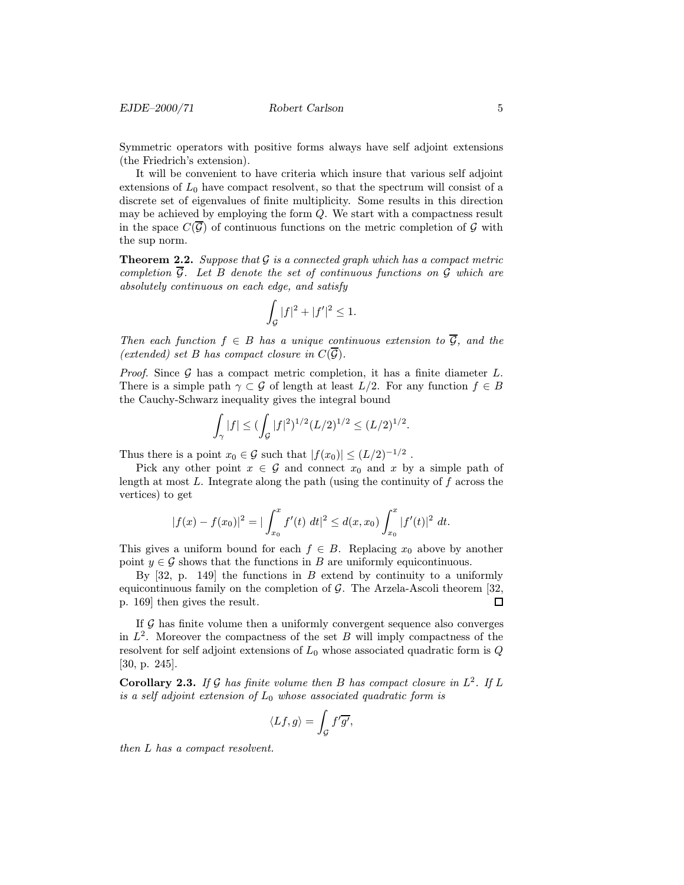Symmetric operators with positive forms always have self adjoint extensions (the Friedrich's extension).

It will be convenient to have criteria which insure that various self adjoint extensions of  $L_0$  have compact resolvent, so that the spectrum will consist of a discrete set of eigenvalues of finite multiplicity. Some results in this direction may be achieved by employing the form Q. We start with a compactness result in the space  $C(\overline{\mathcal{G}})$  of continuous functions on the metric completion of  $\mathcal G$  with the sup norm.

**Theorem 2.2.** Suppose that  $\mathcal{G}$  is a connected graph which has a compact metric completion  $\overline{\mathcal{G}}$ . Let B denote the set of continuous functions on  $\mathcal{G}$  which are absolutely continuous on each edge, and satisfy

$$
\int_{\mathcal{G}} |f|^2 + |f'|^2 \le 1.
$$

Then each function  $f \in B$  has a unique continuous extension to  $\overline{G}$ , and the (extended) set B has compact closure in  $C(\overline{\mathcal{G}})$ .

*Proof.* Since  $G$  has a compact metric completion, it has a finite diameter  $L$ . There is a simple path  $\gamma \subset \mathcal{G}$  of length at least  $L/2$ . For any function  $f \in B$ the Cauchy-Schwarz inequality gives the integral bound

$$
\int_{\gamma} |f| \leq (\int_{\mathcal{G}} |f|^2)^{1/2} (L/2)^{1/2} \leq (L/2)^{1/2}.
$$

Thus there is a point  $x_0 \in \mathcal{G}$  such that  $|f(x_0)| \leq (L/2)^{-1/2}$ .

Pick any other point  $x \in \mathcal{G}$  and connect  $x_0$  and x by a simple path of length at most  $L$ . Integrate along the path (using the continuity of  $f$  across the vertices) to get

$$
|f(x) - f(x_0)|^2 = |\int_{x_0}^x f'(t) dt|^2 \le d(x, x_0) \int_{x_0}^x |f'(t)|^2 dt.
$$

This gives a uniform bound for each  $f \in B$ . Replacing  $x_0$  above by another point  $y \in \mathcal{G}$  shows that the functions in B are uniformly equicontinuous.

By  $[32, p. 149]$  the functions in B extend by continuity to a uniformly equicontinuous family on the completion of  $G$ . The Arzela-Ascoli theorem [32, p. 169] then gives the result.  $\Box$ 

If G has finite volume then a uniformly convergent sequence also converges in  $L^2$ . Moreover the compactness of the set B will imply compactness of the resolvent for self adjoint extensions of  $L_0$  whose associated quadratic form is  $Q$ [30, p. 245].

**Corollary 2.3.** If G has finite volume then B has compact closure in  $L^2$ . If L is a self adjoint extension of  $L_0$  whose associated quadratic form is

$$
\langle Lf, g \rangle = \int_{\mathcal{G}} f' \overline{g'}
$$

then L has a compact resolvent.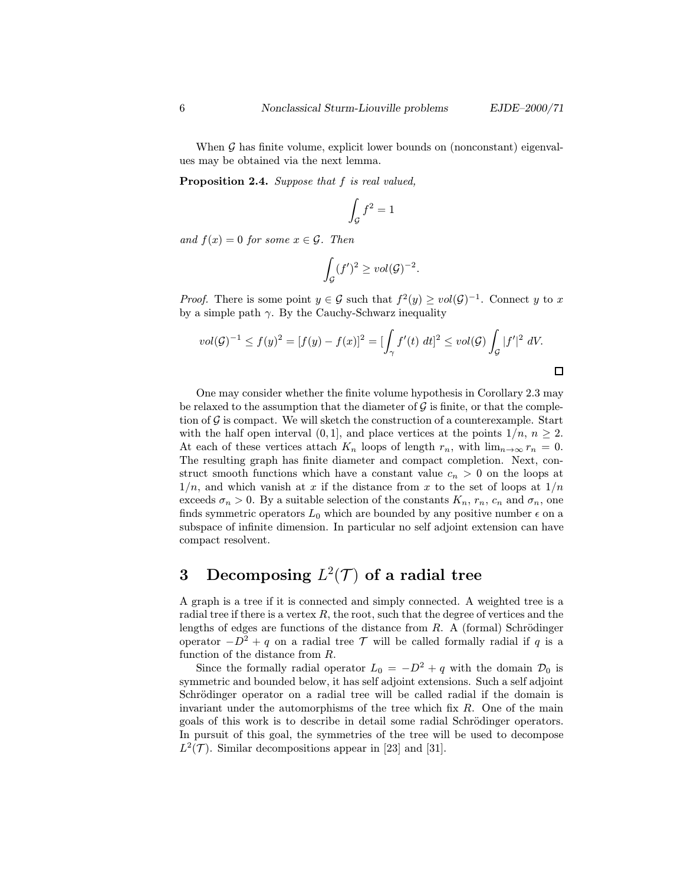When  $\mathcal G$  has finite volume, explicit lower bounds on (nonconstant) eigenvalues may be obtained via the next lemma.

Proposition 2.4. Suppose that f is real valued,

$$
\int_{\mathcal{G}} f^2 = 1
$$

and  $f(x)=0$  for some  $x \in \mathcal{G}$ . Then

$$
\int_{\mathcal{G}} (f')^2 \geq vol(\mathcal{G})^{-2}.
$$

*Proof.* There is some point  $y \in \mathcal{G}$  such that  $f^2(y) \geq vol(\mathcal{G})^{-1}$ . Connect y to x by a simple path  $\gamma$ . By the Cauchy-Schwarz inequality

$$
vol(\mathcal{G})^{-1} \le f(y)^2 = [f(y) - f(x)]^2 = [\int_{\gamma} f'(t) \ dt]^2 \le vol(\mathcal{G}) \int_{\mathcal{G}} |f'|^2 \ dV.
$$

One may consider whether the finite volume hypothesis in Corollary 2.3 may be relaxed to the assumption that the diameter of  $\mathcal G$  is finite, or that the completion of  $\mathcal G$  is compact. We will sketch the construction of a counterexample. Start with the half open interval  $(0, 1]$ , and place vertices at the points  $1/n$ ,  $n \geq 2$ . At each of these vertices attach  $K_n$  loops of length  $r_n$ , with  $\lim_{n\to\infty} r_n = 0$ . The resulting graph has finite diameter and compact completion. Next, construct smooth functions which have a constant value  $c_n > 0$  on the loops at  $1/n$ , and which vanish at x if the distance from x to the set of loops at  $1/n$ exceeds  $\sigma_n > 0$ . By a suitable selection of the constants  $K_n$ ,  $r_n$ ,  $c_n$  and  $\sigma_n$ , one finds symmetric operators  $L_0$  which are bounded by any positive number  $\epsilon$  on a subspace of infinite dimension. In particular no self adjoint extension can have compact resolvent.

# 3 Decomposing  $L^2(\mathcal{T})$  of a radial tree

A graph is a tree if it is connected and simply connected. A weighted tree is a radial tree if there is a vertex  $R$ , the root, such that the degree of vertices and the lengths of edges are functions of the distance from  $R$ . A (formal) Schrödinger operator  $-D^2 + q$  on a radial tree T will be called formally radial if q is a function of the distance from R.

Since the formally radial operator  $L_0 = -D^2 + q$  with the domain  $\mathcal{D}_0$  is symmetric and bounded below, it has self adjoint extensions. Such a self adjoint Schrödinger operator on a radial tree will be called radial if the domain is invariant under the automorphisms of the tree which fix  $R$ . One of the main goals of this work is to describe in detail some radial Schrödinger operators. In pursuit of this goal, the symmetries of the tree will be used to decompose  $L^2(\mathcal{T})$ . Similar decompositions appear in [23] and [31].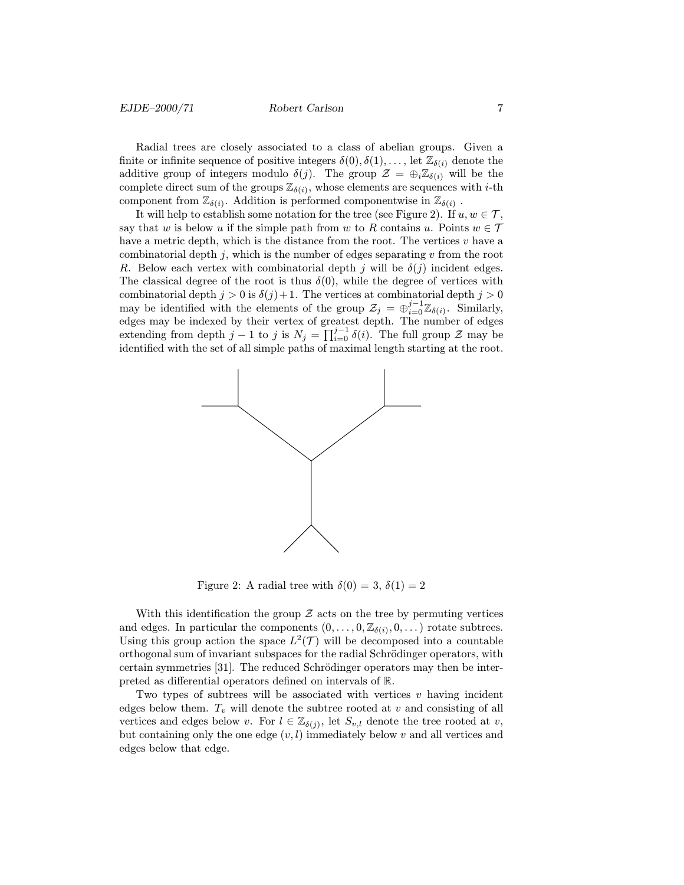Radial trees are closely associated to a class of abelian groups. Given a finite or infinite sequence of positive integers  $\delta(0), \delta(1), \ldots$ , let  $\mathbb{Z}_{\delta(i)}$  denote the additive group of integers modulo  $\delta(j)$ . The group  $\mathcal{Z} = \bigoplus_i \mathbb{Z}_{\delta(i)}$  will be the complete direct sum of the groups  $\mathbb{Z}_{\delta(i)}$ , whose elements are sequences with *i*-th component from  $\mathbb{Z}_{\delta(i)}$ . Addition is performed componentwise in  $\mathbb{Z}_{\delta(i)}$ .

It will help to establish some notation for the tree (see Figure 2). If  $u, w \in \mathcal{T}$ , say that w is below u if the simple path from w to R contains u. Points  $w \in \mathcal{T}$ have a metric depth, which is the distance from the root. The vertices  $v$  have a combinatorial depth  $j$ , which is the number of edges separating  $v$  from the root R. Below each vertex with combinatorial depth j will be  $\delta(i)$  incident edges. The classical degree of the root is thus  $\delta(0)$ , while the degree of vertices with combinatorial depth  $j > 0$  is  $\delta(j) + 1$ . The vertices at combinatorial depth  $j > 0$ may be identified with the elements of the group  $\mathcal{Z}_j = \bigoplus_{i=0}^{j-1} \mathbb{Z}_{\delta(i)}$ . Similarly, edges may be indexed by their vertex of greatest depth. The number of edges extending from depth  $j-1$  to j is  $N_j = \prod_{i=0}^{j-1} \delta(i)$ . The full group  $\mathcal Z$  may be identified with the set of all simple paths of maximal length starting at the root.



Figure 2: A radial tree with  $\delta(0) = 3$ ,  $\delta(1) = 2$ 

With this identification the group  $Z$  acts on the tree by permuting vertices and edges. In particular the components  $(0,\ldots,0,\mathbb{Z}_{\delta(i)},0,\ldots)$  rotate subtrees. Using this group action the space  $L^2(\mathcal{T})$  will be decomposed into a countable orthogonal sum of invariant subspaces for the radial Schrödinger operators, with certain symmetries  $[31]$ . The reduced Schrödinger operators may then be interpreted as differential operators defined on intervals of R.

Two types of subtrees will be associated with vertices  $v$  having incident edges below them.  $T_v$  will denote the subtree rooted at v and consisting of all vertices and edges below v. For  $l \in \mathbb{Z}_{\delta(j)}$ , let  $S_{v,l}$  denote the tree rooted at v, but containing only the one edge  $(v, l)$  immediately below v and all vertices and edges below that edge.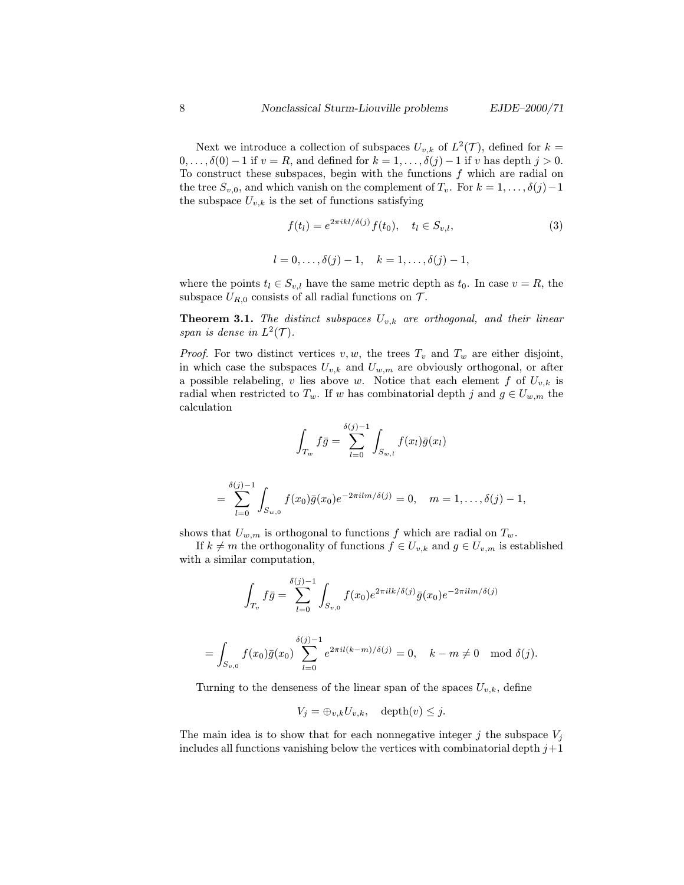Next we introduce a collection of subspaces  $U_{v,k}$  of  $L^2(\mathcal{T})$ , defined for  $k =$  $0,\ldots,\delta(0)-1$  if  $v=R$ , and defined for  $k=1,\ldots,\delta(j)-1$  if v has depth  $j>0$ . To construct these subspaces, begin with the functions  $f$  which are radial on the tree  $S_{v,0}$ , and which vanish on the complement of  $T_v$ . For  $k = 1, \ldots, \delta(j)-1$ the subspace  $U_{v,k}$  is the set of functions satisfying

$$
f(t_l) = e^{2\pi i k l / \delta(j)} f(t_0), \quad t_l \in S_{v,l},
$$
\n(3)

$$
l = 0, \ldots, \delta(j) - 1, \quad k = 1, \ldots, \delta(j) - 1,
$$

where the points  $t_l \in S_{v,l}$  have the same metric depth as  $t_0$ . In case  $v = R$ , the subspace  $U_{R,0}$  consists of all radial functions on  $\mathcal{T}$ .

**Theorem 3.1.** The distinct subspaces  $U_{v,k}$  are orthogonal, and their linear span is dense in  $L^2(\mathcal{T})$ .

*Proof.* For two distinct vertices  $v, w$ , the trees  $T_v$  and  $T_w$  are either disjoint, in which case the subspaces  $U_{v,k}$  and  $U_{w,m}$  are obviously orthogonal, or after a possible relabeling, v lies above w. Notice that each element f of  $U_{v,k}$  is radial when restricted to  $T_w$ . If w has combinatorial depth j and  $g \in U_{w,m}$  the calculation

$$
\int_{T_w} f\bar{g} = \sum_{l=0}^{\delta(j)-1} \int_{S_{w,l}} f(x_l)\bar{g}(x_l)
$$

$$
= \sum_{l=0}^{\delta(j)-1} \int_{S_{w,0}} f(x_0)\bar{g}(x_0)e^{-2\pi ilm/\delta(j)} = 0, \quad m = 1,\ldots,\delta(j)-1,
$$

shows that  $U_{w,m}$  is orthogonal to functions f which are radial on  $T_w$ .

If  $k \neq m$  the orthogonality of functions  $f \in U_{v,k}$  and  $g \in U_{v,m}$  is established with a similar computation,

$$
\int_{T_v} f\bar{g} = \sum_{l=0}^{\delta(j)-1} \int_{S_{v,0}} f(x_0) e^{2\pi ilk/\delta(j)} \bar{g}(x_0) e^{-2\pi ilm/\delta(j)}
$$

$$
= \int_{S_{v,0}} f(x_0)\bar{g}(x_0) \sum_{l=0}^{\delta(j)-1} e^{2\pi i l(k-m)/\delta(j)} = 0, \quad k-m \neq 0 \mod \delta(j).
$$

Turning to the denseness of the linear span of the spaces  $U_{v,k}$ , define

$$
V_j = \oplus_{v,k} U_{v,k}, \quad \text{depth}(v) \leq j.
$$

The main idea is to show that for each nonnegative integer j the subspace  $V_i$ includes all functions vanishing below the vertices with combinatorial depth  $j+1$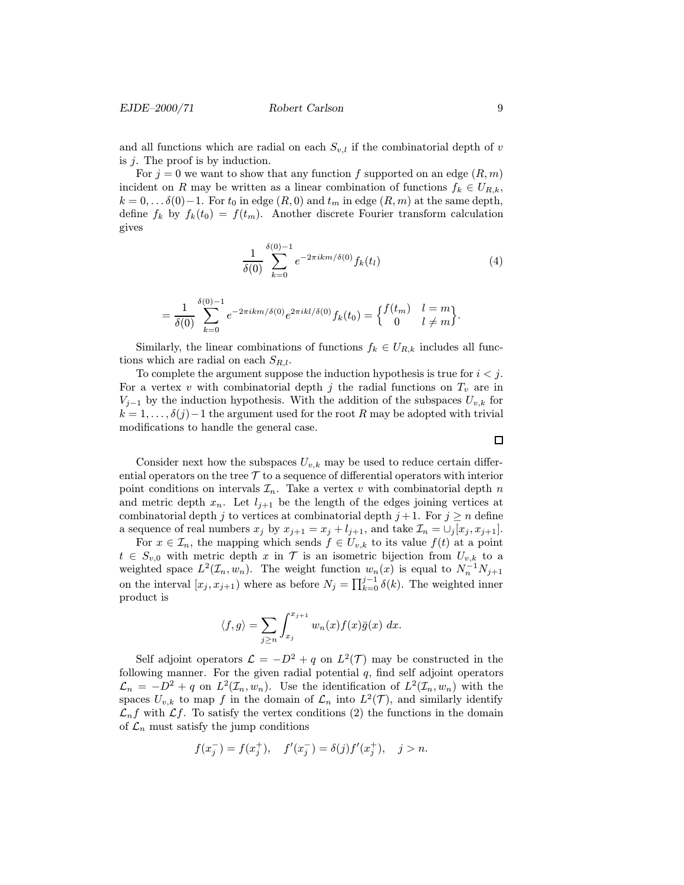and all functions which are radial on each  $S_{v,l}$  if the combinatorial depth of v is j. The proof is by induction.

For  $j = 0$  we want to show that any function f supported on an edge  $(R, m)$ incident on R may be written as a linear combination of functions  $f_k \in U_{R,k}$ ,  $k = 0, \ldots \delta(0) - 1$ . For  $t_0$  in edge  $(R, 0)$  and  $t_m$  in edge  $(R, m)$  at the same depth, define  $f_k$  by  $f_k(t_0) = f(t_m)$ . Another discrete Fourier transform calculation gives

$$
\frac{1}{\delta(0)} \sum_{k=0}^{\delta(0)-1} e^{-2\pi i k m/\delta(0)} f_k(t_l)
$$
 (4)

$$
= \frac{1}{\delta(0)} \sum_{k=0}^{\delta(0)-1} e^{-2\pi i k m/\delta(0)} e^{2\pi i k l/\delta(0)} f_k(t_0) = \begin{cases} f(t_m) & l=m\\ 0 & l \neq m \end{cases}.
$$

Similarly, the linear combinations of functions  $f_k \in U_{R,k}$  includes all functions which are radial on each  $S_{R,l}$ .

To complete the argument suppose the induction hypothesis is true for  $i < j$ . For a vertex v with combinatorial depth j the radial functions on  $T_v$  are in  $V_{j-1}$  by the induction hypothesis. With the addition of the subspaces  $U_{v,k}$  for  $k = 1, \ldots, \delta(j) - 1$  the argument used for the root R may be adopted with trivial modifications to handle the general case.

 $\Box$ 

Consider next how the subspaces  $U_{v,k}$  may be used to reduce certain differential operators on the tree  $\mathcal T$  to a sequence of differential operators with interior point conditions on intervals  $\mathcal{I}_n$ . Take a vertex v with combinatorial depth n and metric depth  $x_n$ . Let  $l_{j+1}$  be the length of the edges joining vertices at combinatorial depth j to vertices at combinatorial depth  $j+1$ . For  $j \geq n$  define a sequence of real numbers  $x_j$  by  $x_{j+1} = x_j + l_{j+1}$ , and take  $\mathcal{I}_n = \bigcup_j [x_j, x_{j+1}]$ .

For  $x \in \mathcal{I}_n$ , the mapping which sends  $f \in U_{v,k}$  to its value  $f(t)$  at a point  $t \in S_{v,0}$  with metric depth x in T is an isometric bijection from  $U_{v,k}$  to a weighted space  $L^2(\mathcal{I}_n, w_n)$ . The weight function  $w_n(x)$  is equal to  $N_n^{-1}N_{j+1}$ on the interval  $[x_j, x_{j+1})$  where as before  $N_j = \prod_{k=0}^{j-1} \delta(k)$ . The weighted inner product is

$$
\langle f, g \rangle = \sum_{j \ge n} \int_{x_j}^{x_{j+1}} w_n(x) f(x) \overline{g}(x) \, dx.
$$

Self adjoint operators  $\mathcal{L} = -D^2 + q$  on  $L^2(\mathcal{T})$  may be constructed in the following manner. For the given radial potential  $q$ , find self adjoint operators  $\mathcal{L}_n = -D^2 + q$  on  $L^2(\mathcal{I}_n, w_n)$ . Use the identification of  $L^2(\mathcal{I}_n, w_n)$  with the spaces  $U_{v,k}$  to map f in the domain of  $\mathcal{L}_n$  into  $L^2(\mathcal{T})$ , and similarly identify  $\mathcal{L}_n f$  with  $\mathcal{L} f$ . To satisfy the vertex conditions (2) the functions in the domain of  $\mathcal{L}_n$  must satisfy the jump conditions

$$
f(x_j^-) = f(x_j^+), \quad f'(x_j^-) = \delta(j)f'(x_j^+), \quad j > n.
$$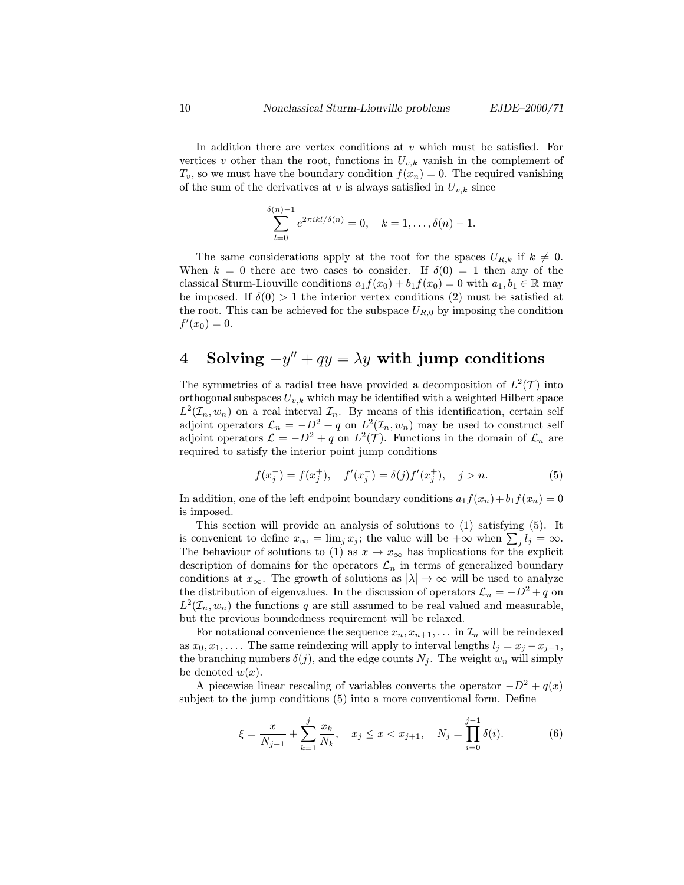In addition there are vertex conditions at  $v$  which must be satisfied. For vertices v other than the root, functions in  $U_{v,k}$  vanish in the complement of  $T_v$ , so we must have the boundary condition  $f(x_n) = 0$ . The required vanishing of the sum of the derivatives at v is always satisfied in  $U_{v,k}$  since

$$
\sum_{l=0}^{S(n)-1} e^{2\pi i k l/\delta(n)} = 0, \quad k = 1, \dots, \delta(n) - 1.
$$

The same considerations apply at the root for the spaces  $U_{R,k}$  if  $k \neq 0$ . When  $k = 0$  there are two cases to consider. If  $\delta(0) = 1$  then any of the classical Sturm-Liouville conditions  $a_1f(x_0) + b_1f(x_0) = 0$  with  $a_1, b_1 \in \mathbb{R}$  may be imposed. If  $\delta(0) > 1$  the interior vertex conditions (2) must be satisfied at the root. This can be achieved for the subspace  $U_{R,0}$  by imposing the condition  $f'(x_0) = 0.$ 

# 4 Solving  $-y'' + qy = \lambda y$  with jump conditions

The symmetries of a radial tree have provided a decomposition of  $L^2(\mathcal{T})$  into orthogonal subspaces  $U_{v,k}$  which may be identified with a weighted Hilbert space  $L^2(\mathcal{I}_n, w_n)$  on a real interval  $\mathcal{I}_n$ . By means of this identification, certain self adjoint operators  $\mathcal{L}_n = -D^2 + q$  on  $L^2(\mathcal{I}_n, w_n)$  may be used to construct self adjoint operators  $\mathcal{L} = -D^2 + q$  on  $L^2(\mathcal{T})$ . Functions in the domain of  $\mathcal{L}_n$  are required to satisfy the interior point jump conditions

$$
f(x_j^-) = f(x_j^+), \quad f'(x_j^-) = \delta(j)f'(x_j^+), \quad j > n. \tag{5}
$$

In addition, one of the left endpoint boundary conditions  $a_1f(x_n)+b_1f(x_n)=0$ is imposed.

This section will provide an analysis of solutions to (1) satisfying (5). It is convenient to define  $x_{\infty} = \lim_j x_j$ ; the value will be  $+\infty$  when  $\sum_j l_j = \infty$ . The behaviour of solutions to (1) as  $x \to x_{\infty}$  has implications for the explicit description of domains for the operators  $\mathcal{L}_n$  in terms of generalized boundary conditions at  $x_{\infty}$ . The growth of solutions as  $|\lambda| \to \infty$  will be used to analyze the distribution of eigenvalues. In the discussion of operators  $\mathcal{L}_n = -D^2 + q$  on  $L^2(\mathcal{I}_n, w_n)$  the functions q are still assumed to be real valued and measurable, but the previous boundedness requirement will be relaxed.

For notational convenience the sequence  $x_n, x_{n+1}, \ldots$  in  $\mathcal{I}_n$  will be reindexed as  $x_0, x_1, \ldots$ . The same reindexing will apply to interval lengths  $l_i = x_i - x_{i-1}$ , the branching numbers  $\delta(j)$ , and the edge counts  $N_j$ . The weight  $w_n$  will simply be denoted  $w(x)$ .

A piecewise linear rescaling of variables converts the operator  $-D^2 + q(x)$ subject to the jump conditions (5) into a more conventional form. Define

$$
\xi = \frac{x}{N_{j+1}} + \sum_{k=1}^{j} \frac{x_k}{N_k}, \quad x_j \le x < x_{j+1}, \quad N_j = \prod_{i=0}^{j-1} \delta(i). \tag{6}
$$

δ(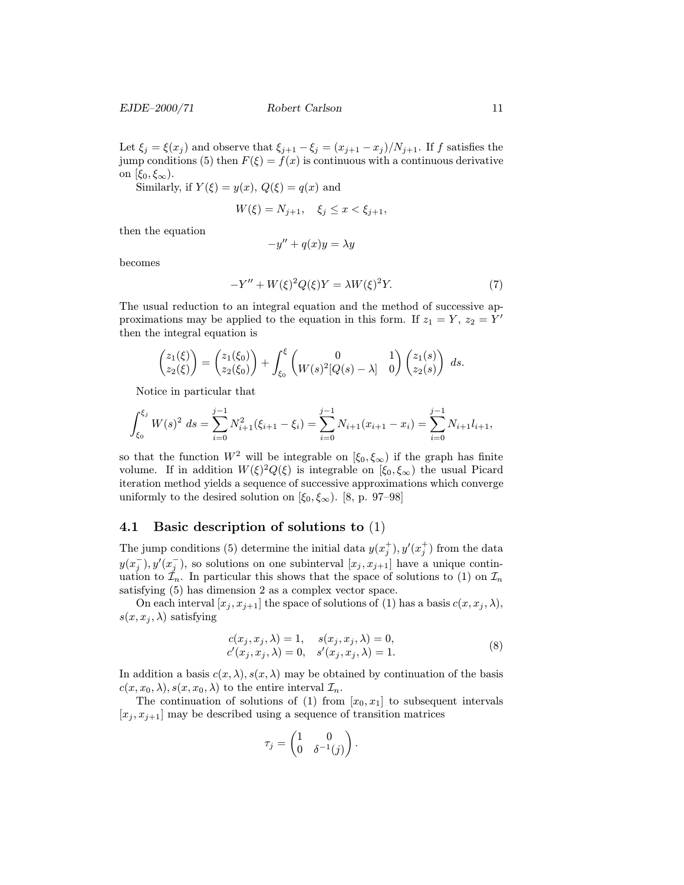EJDE–2000/71 Robert Carlson 11

Let  $\xi_j = \xi(x_j)$  and observe that  $\xi_{j+1} - \xi_j = (x_{j+1} - x_j)/N_{j+1}$ . If f satisfies the jump conditions (5) then  $F(\xi) = f(x)$  is continuous with a continuous derivative on  $[\xi_0, \xi_\infty)$ .

Similarly, if  $Y(\xi) = y(x)$ ,  $Q(\xi) = q(x)$  and

$$
W(\xi) = N_{j+1}, \quad \xi_j \le x < \xi_{j+1},
$$

then the equation

$$
-y'' + q(x)y = \lambda y
$$

becomes

$$
-Y'' + W(\xi)^2 Q(\xi)Y = \lambda W(\xi)^2 Y.
$$
\n<sup>(7)</sup>

The usual reduction to an integral equation and the method of successive approximations may be applied to the equation in this form. If  $z_1 = Y$ ,  $z_2 = Y'$ then the integral equation is

$$
\begin{pmatrix} z_1(\xi) \\ z_2(\xi) \end{pmatrix} = \begin{pmatrix} z_1(\xi_0) \\ z_2(\xi_0) \end{pmatrix} + \int_{\xi_0}^{\xi} \begin{pmatrix} 0 & 1 \\ W(s)^2[Q(s) - \lambda] & 0 \end{pmatrix} \begin{pmatrix} z_1(s) \\ z_2(s) \end{pmatrix} ds.
$$

Notice in particular that

$$
\int_{\xi_0}^{\xi_j} W(s)^2 \ ds = \sum_{i=0}^{j-1} N_{i+1}^2(\xi_{i+1} - \xi_i) = \sum_{i=0}^{j-1} N_{i+1}(x_{i+1} - x_i) = \sum_{i=0}^{j-1} N_{i+1} l_{i+1},
$$

so that the function  $W^2$  will be integrable on  $[\xi_0, \xi_\infty)$  if the graph has finite volume. If in addition  $W(\xi)^2 Q(\xi)$  is integrable on  $[\xi_0, \xi_\infty)$  the usual Picard iteration method yields a sequence of successive approximations which converge uniformly to the desired solution on  $[\xi_0, \xi_\infty)$ . [8, p. 97–98]

### 4.1 Basic description of solutions to (1)

The jump conditions (5) determine the initial data  $y(x_j^+), y'(x_j^+)$  from the data  $y(x_j^-), y'(x_j^-)$ , so solutions on one subinterval  $[x_j, x_{j+1}]$  have a unique continuation to  $\mathcal{I}_n$ . In particular this shows that the space of solutions to (1) on  $\mathcal{I}_n$ satisfying (5) has dimension 2 as a complex vector space.

On each interval  $[x_i, x_{i+1}]$  the space of solutions of (1) has a basis  $c(x, x_i, \lambda)$ ,  $s(x, x_i, \lambda)$  satisfying

$$
c(x_j, x_j, \lambda) = 1, \quad s(x_j, x_j, \lambda) = 0,
$$
  
\n
$$
c'(x_j, x_j, \lambda) = 0, \quad s'(x_j, x_j, \lambda) = 1.
$$
\n(8)

In addition a basis  $c(x, \lambda), s(x, \lambda)$  may be obtained by continuation of the basis  $c(x, x_0, \lambda), s(x, x_0, \lambda)$  to the entire interval  $\mathcal{I}_n$ .

The continuation of solutions of (1) from  $[x_0, x_1]$  to subsequent intervals  $[x_i, x_{i+1}]$  may be described using a sequence of transition matrices

$$
\tau_j = \begin{pmatrix} 1 & 0 \\ 0 & \delta^{-1}(j) \end{pmatrix}.
$$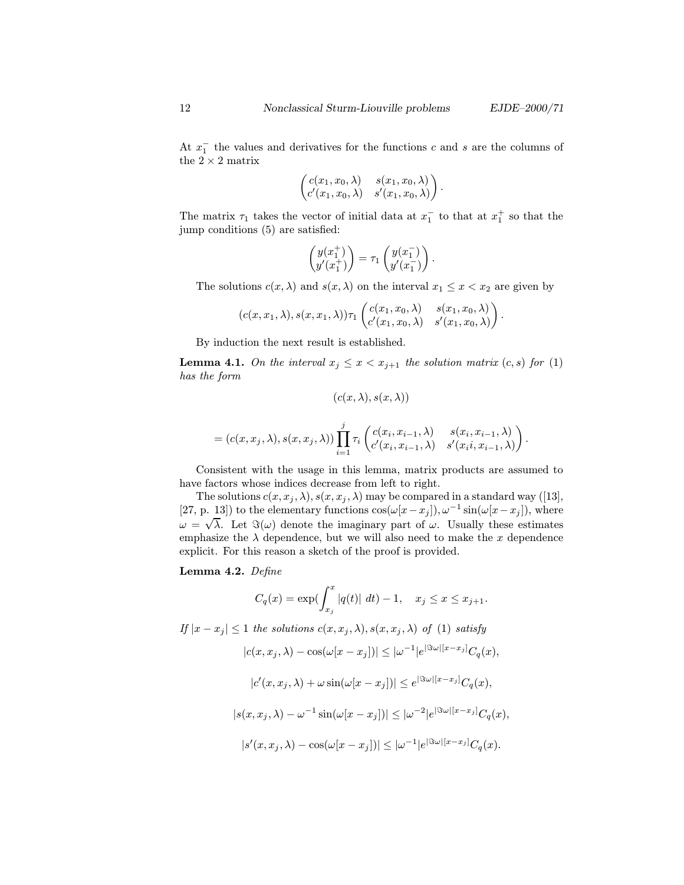At  $x_1^-$  the values and derivatives for the functions c and s are the columns of the  $2\times 2$  matrix

$$
\begin{pmatrix} c(x_1,x_0,\lambda) & s(x_1,x_0,\lambda) \\ c'(x_1,x_0,\lambda) & s'(x_1,x_0,\lambda) \end{pmatrix}.
$$

The matrix  $\tau_1$  takes the vector of initial data at  $x_1^-$  to that at  $x_1^+$  so that the jump conditions (5) are satisfied:

$$
\begin{pmatrix} y(x_1^+) \\ y'(x_1^+) \end{pmatrix} = \tau_1 \begin{pmatrix} y(x_1^-) \\ y'(x_1^-) \end{pmatrix}.
$$

The solutions  $c(x, \lambda)$  and  $s(x, \lambda)$  on the interval  $x_1 \leq x < x_2$  are given by

$$
(c(x,x_1,\lambda),s(x,x_1,\lambda))\tau_1\begin{pmatrix}c(x_1,x_0,\lambda)&s(x_1,x_0,\lambda)\\c'(x_1,x_0,\lambda)&s'(x_1,x_0,\lambda)\end{pmatrix}.
$$

By induction the next result is established.

**Lemma 4.1.** On the interval  $x_j \leq x < x_{j+1}$  the solution matrix  $(c, s)$  for (1) has the form

$$
(c(x,\lambda),s(x,\lambda))
$$

$$
= (c(x, x_j, \lambda), s(x, x_j, \lambda)) \prod_{i=1}^j \tau_i \begin{pmatrix} c(x_i, x_{i-1}, \lambda) & s(x_i, x_{i-1}, \lambda) \\ c'(x_i, x_{i-1}, \lambda) & s'(x_i, x_{i-1}, \lambda) \end{pmatrix}.
$$

Consistent with the usage in this lemma, matrix products are assumed to have factors whose indices decrease from left to right.

The solutions  $c(x, x_j, \lambda), s(x, x_j, \lambda)$  may be compared in a standard way ([13], [27, p. 13]) to the elementary functions  $\cos(\omega[x-x_j]), \omega^{-1}\sin(\omega[x-x_j]),$  where  $(\omega | \omega + \sqrt{\lambda})$ . Let  $\Im(\omega)$  denote the imaginary part of  $\omega$ . Usually these estimates emphasize the  $\lambda$  dependence, but we will also need to make the x dependence explicit. For this reason a sketch of the proof is provided.

#### Lemma 4.2. Define

$$
C_q(x) = \exp(\int_{x_j}^x |q(t)| \ dt) - 1, \quad x_j \leq x \leq x_{j+1}.
$$

If  $|x-x_j| \leq 1$  the solutions  $c(x, x_j, \lambda), s(x, x_j, \lambda)$  of (1) satisfy  $|c(x,x_j,\lambda) - \cos(\omega[x-x_j])| \leq |\omega^{-1}|e^{|\Im\omega|[x-x_j]}C_q(x),$  $|c'(x, x_j, \lambda) + \omega \sin(\omega[x - x_j])| \leq e^{|\Im \omega||x - x_j|} C_q(x),$  $|s(x, x_j, \lambda) - \omega^{-1} \sin(\omega [x - x_j])| \leq |\omega^{-2}|e^{|\Im \omega| [x - x_j]} C_q(x),$  $|s'(x, x_j, \lambda) - \cos(\omega[x - x_j])| \leq |\omega^{-1}|e^{|\Im \omega|[x - x_j]}C_q(x).$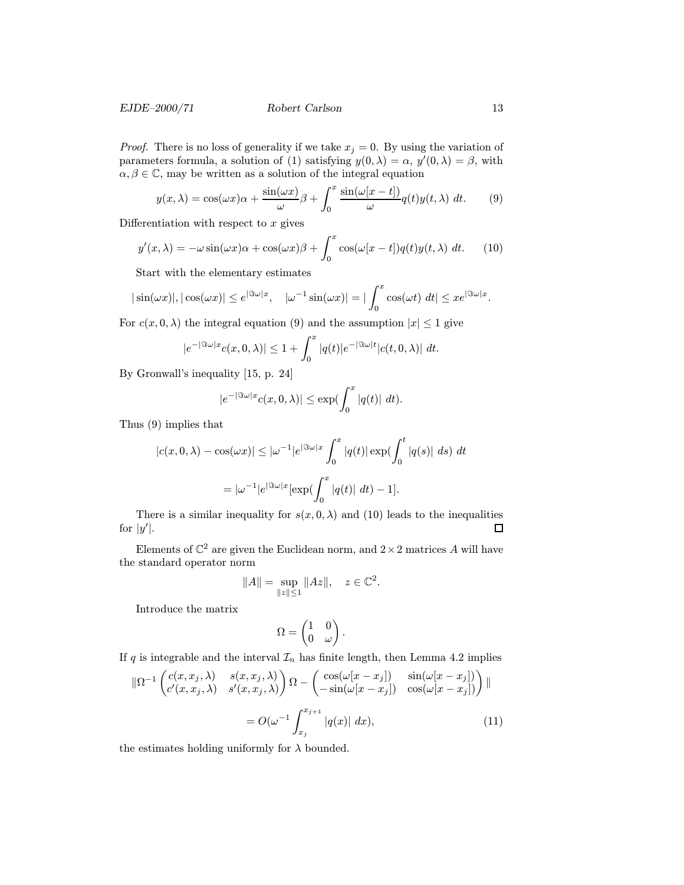### EJDE–2000/71 Robert Carlson 13

*Proof.* There is no loss of generality if we take  $x_j = 0$ . By using the variation of parameters formula, a solution of (1) satisfying  $y(0, \lambda) = \alpha$ ,  $y'(0, \lambda) = \beta$ , with  $\alpha, \beta \in \mathbb{C}$ , may be written as a solution of the integral equation

$$
y(x,\lambda) = \cos(\omega x)\alpha + \frac{\sin(\omega x)}{\omega}\beta + \int_0^x \frac{\sin(\omega[x-t])}{\omega}q(t)y(t,\lambda) dt.
$$
 (9)

Differentiation with respect to  $x$  gives

$$
y'(x,\lambda) = -\omega \sin(\omega x)\alpha + \cos(\omega x)\beta + \int_0^x \cos(\omega[x-t])q(t)y(t,\lambda) dt.
$$
 (10)

Start with the elementary estimates

$$
|\sin(\omega x)|, |\cos(\omega x)| \le e^{|\Im \omega| x}, \quad |\omega^{-1} \sin(\omega x)| = |\int_0^x \cos(\omega t) dt| \le xe^{|\Im \omega| x}.
$$

For  $c(x, 0, \lambda)$  the integral equation (9) and the assumption  $|x| \leq 1$  give

$$
|e^{-|\Im \omega| x}c(x,0,\lambda)| \leq 1 + \int_0^x |q(t)|e^{-|\Im \omega|t}|c(t,0,\lambda)| dt.
$$

By Gronwall's inequality [15, p. 24]

$$
|e^{-|\Im \omega| x}c(x,0,\lambda)| \le \exp(\int_0^x |q(t)| dt).
$$

Thus (9) implies that

$$
|c(x, 0, \lambda) - \cos(\omega x)| \le |\omega^{-1}|e^{|\Im \omega| x} \int_0^x |q(t)| \exp(\int_0^t |q(s)| ds) dt
$$
  
=  $|\omega^{-1}|e^{|\Im \omega| x} [\exp(\int_0^x |q(t)| dt) - 1].$ 

There is a similar inequality for  $s(x, 0, \lambda)$  and (10) leads to the inequalities for  $|y'|$ .  $\Box$ 

Elements of  $\mathbb{C}^2$  are given the Euclidean norm, and  $2 \times 2$  matrices A will have the standard operator norm

$$
||A|| = \sup_{||z|| \le 1} ||Az||, \quad z \in \mathbb{C}^2.
$$

Introduce the matrix

$$
\Omega = \begin{pmatrix} 1 & 0 \\ 0 & \omega \end{pmatrix}.
$$

If q is integrable and the interval  $\mathcal{I}_n$  has finite length, then Lemma 4.2 implies

$$
\|\Omega^{-1}\begin{pmatrix}c(x,x_j,\lambda) & s(x,x_j,\lambda) \\ c'(x,x_j,\lambda) & s'(x,x_j,\lambda)\end{pmatrix}\Omega - \begin{pmatrix}\cos(\omega[x-x_j]) & \sin(\omega[x-x_j]) \\ -\sin(\omega[x-x_j]) & \cos(\omega[x-x_j])\end{pmatrix}\|
$$
  
=  $O(\omega^{-1}\int_{x_j}^{x_{j+1}}|q(x)| dx),$  (11)

the estimates holding uniformly for  $\lambda$  bounded.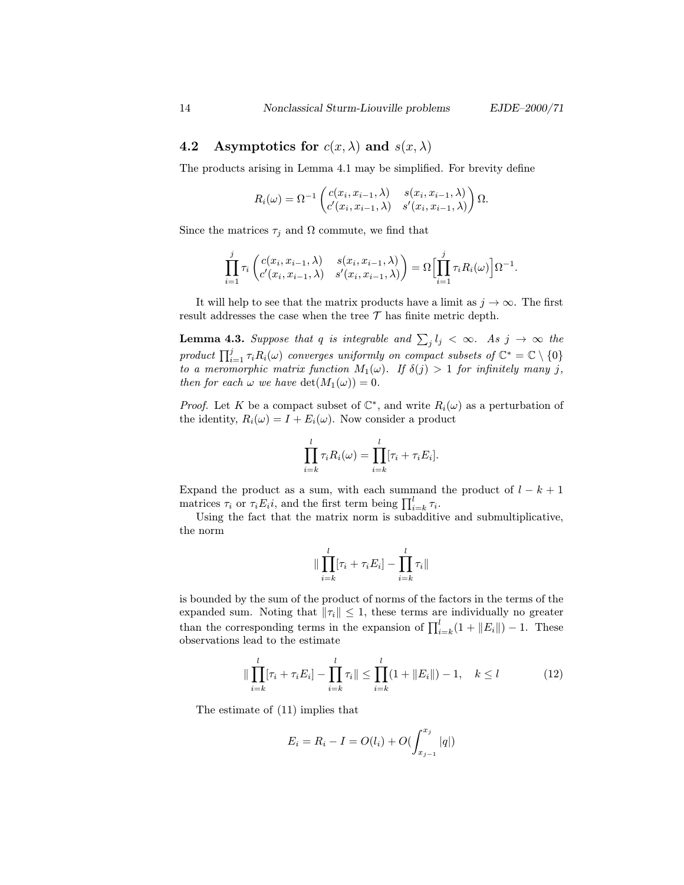## 4.2 Asymptotics for  $c(x, \lambda)$  and  $s(x, \lambda)$

The products arising in Lemma 4.1 may be simplified. For brevity define

$$
R_i(\omega) = \Omega^{-1} \begin{pmatrix} c(x_i, x_{i-1}, \lambda) & s(x_i, x_{i-1}, \lambda) \\ c'(x_i, x_{i-1}, \lambda) & s'(x_i, x_{i-1}, \lambda) \end{pmatrix} \Omega.
$$

Since the matrices  $\tau_i$  and  $\Omega$  commute, we find that

$$
\prod_{i=1}^j \tau_i \begin{pmatrix} c(x_i, x_{i-1}, \lambda) & s(x_i, x_{i-1}, \lambda) \\ c'(x_i, x_{i-1}, \lambda) & s'(x_i, x_{i-1}, \lambda) \end{pmatrix} = \Omega \Biggl[ \prod_{i=1}^j \tau_i R_i(\omega) \Biggr] \Omega^{-1}.
$$

It will help to see that the matrix products have a limit as  $j \to \infty$ . The first result addresses the case when the tree  $\mathcal T$  has finite metric depth.

**Lemma 4.3.** Suppose that q is integrable and  $\sum_j l_j < \infty$ . As  $j \to \infty$  the product  $\prod_{i=1}^{j} \tau_i R_i(\omega)$  converges uniformly on compact subsets of  $\mathbb{C}^* = \mathbb{C} \setminus \{0\}$ to a meromorphic matrix function  $M_1(\omega)$ . If  $\delta(j) > 1$  for infinitely many j, then for each  $\omega$  we have  $\det(M_1(\omega)) = 0$ .

*Proof.* Let K be a compact subset of  $\mathbb{C}^*$ , and write  $R_i(\omega)$  as a perturbation of the identity,  $R_i(\omega) = I + E_i(\omega)$ . Now consider a product

$$
\prod_{i=k}^{l} \tau_i R_i(\omega) = \prod_{i=k}^{l} [\tau_i + \tau_i E_i].
$$

Expand the product as a sum, with each summand the product of  $l - k + 1$ matrices  $\tau_i$  or  $\tau_i E_i i$ , and the first term being  $\prod_{i=k}^{l} \tau_i$ .

Using the fact that the matrix norm is subadditive and submultiplicative, the norm

$$
\|\prod_{i=k}^l[\tau_i+\tau_iE_i]-\prod_{i=k}^l\tau_i\|
$$

is bounded by the sum of the product of norms of the factors in the terms of the expanded sum. Noting that  $\|\tau_i\| \leq 1$ , these terms are individually no greater than the corresponding terms in the expansion of  $\prod_{i=k}^{l} (1 + ||E_i||) - 1$ . These observations lead to the estimate

$$
\|\prod_{i=k}^{l} [\tau_i + \tau_i E_i] - \prod_{i=k}^{l} \tau_i \| \le \prod_{i=k}^{l} (1 + \|E_i\|) - 1, \quad k \le l \tag{12}
$$

The estimate of (11) implies that

$$
E_i = R_i - I = O(l_i) + O(\int_{x_{j-1}}^{x_j} |q|)
$$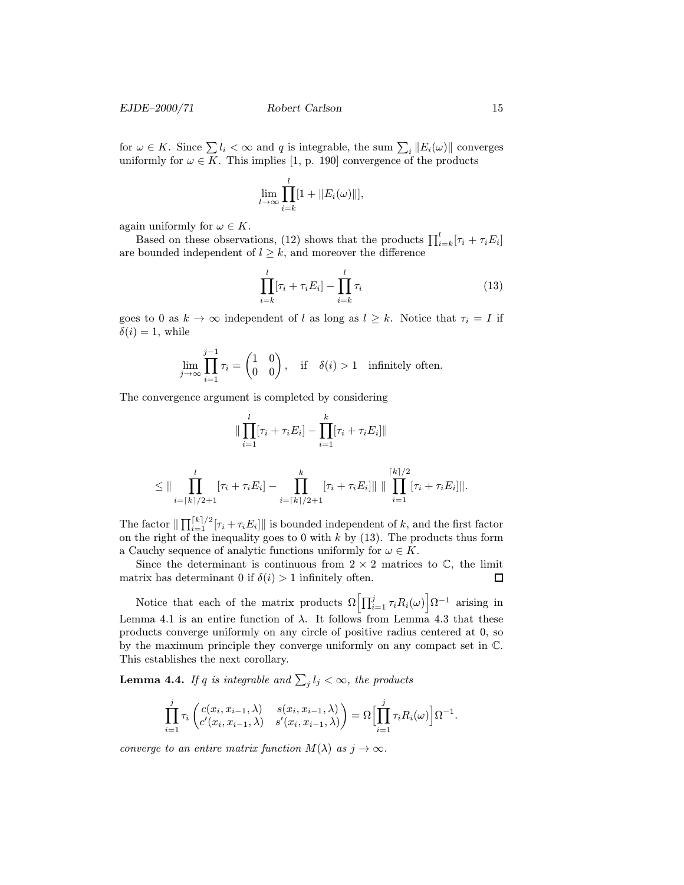for  $\omega \in K$ . Since  $\sum l_i < \infty$  and q is integrable, the sum  $\sum_i ||E_i(\omega)||$  converges uniformly for  $\omega \in K$ . This implies [1, p. 190] convergence of the products

$$
\lim_{l\to\infty}\prod_{i=k}^l[1+\|E_i(\omega)\|],
$$

again uniformly for  $\omega \in K$ .

Based on these observations, (12) shows that the products  $\prod_{i=k}^{l}[\tau_i + \tau_i E_i]$ are bounded independent of  $l \geq k$ , and moreover the difference

$$
\prod_{i=k}^{l} [\tau_i + \tau_i E_i] - \prod_{i=k}^{l} \tau_i
$$
\n(13)

goes to 0 as  $k \to \infty$  independent of l as long as  $l \geq k$ . Notice that  $\tau_i = I$  if  $\delta(i) = 1$ , while

$$
\lim_{j \to \infty} \prod_{i=1}^{j-1} \tau_i = \begin{pmatrix} 1 & 0 \\ 0 & 0 \end{pmatrix}, \quad \text{if} \quad \delta(i) > 1 \quad \text{infinitely often.}
$$

The convergence argument is completed by considering

$$
\|\prod_{i=1}^{l} [\tau_i + \tau_i E_i] - \prod_{i=1}^{k} [\tau_i + \tau_i E_i] \|
$$
  

$$
\leq \|\prod_{i=[k]/2+1}^{l} [\tau_i + \tau_i E_i] - \prod_{i=[k]/2+1}^{k} [\tau_i + \tau_i E_i] \| \| \prod_{i=1}^{[k]/2} [\tau_i + \tau_i E_i] \|.
$$

The factor  $\|\prod_{i=1}^{\lceil k \rceil/2} [\tau_i + \tau_i E_i] \|$  is bounded independent of k, and the first factor on the right of the inequality goes to 0 with  $k$  by (13). The products thus form a Cauchy sequence of analytic functions uniformly for  $\omega \in K$ .

Since the determinant is continuous from  $2 \times 2$  matrices to  $\mathbb{C}$ , the limit matrix has determinant 0 if  $\delta(i) > 1$  infinitely often. □

Notice that each of the matrix products  $\Omega\left[\prod_{i=1}^{j} \tau_i R_i(\omega)\right] \Omega^{-1}$  arising in Lemma 4.1 is an entire function of  $\lambda$ . It follows from Lemma 4.3 that these products converge uniformly on any circle of positive radius centered at 0, so by the maximum principle they converge uniformly on any compact set in C. This establishes the next corollary.

**Lemma 4.4.** If q is integrable and  $\sum_j l_j < \infty$ , the products

$$
\prod_{i=1}^j \tau_i \left( \begin{matrix} c(x_i, x_{i-1}, \lambda) & s(x_i, x_{i-1}, \lambda) \\ c'(x_i, x_{i-1}, \lambda) & s'(x_i, x_{i-1}, \lambda) \end{matrix} \right) = \Omega \Biggl[ \prod_{i=1}^j \tau_i R_i(\omega) \Biggr] \Omega^{-1}.
$$

converge to an entire matrix function  $M(\lambda)$  as  $j \to \infty$ .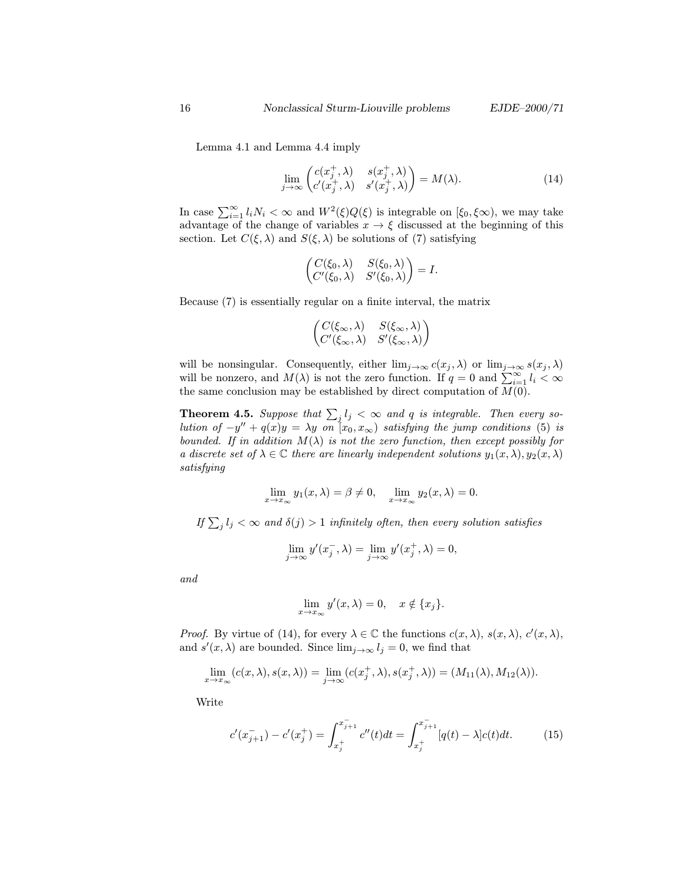Lemma 4.1 and Lemma 4.4 imply

$$
\lim_{j \to \infty} \begin{pmatrix} c(x_j^+, \lambda) & s(x_j^+, \lambda) \\ c'(x_j^+, \lambda) & s'(x_j^+, \lambda) \end{pmatrix} = M(\lambda). \tag{14}
$$

In case  $\sum_{i=1}^{\infty} l_i N_i < \infty$  and  $W^2(\xi) Q(\xi)$  is integrable on  $[\xi_0, \xi \infty)$ , we may take advantage of the change of variables  $x \to \xi$  discussed at the beginning of this section. Let  $C(\xi, \lambda)$  and  $S(\xi, \lambda)$  be solutions of (7) satisfying

$$
\begin{pmatrix} C(\xi_0, \lambda) & S(\xi_0, \lambda) \\ C'(\xi_0, \lambda) & S'(\xi_0, \lambda) \end{pmatrix} = I.
$$

Because (7) is essentially regular on a finite interval, the matrix

$$
\begin{pmatrix} C(\xi_{\infty}, \lambda) & S(\xi_{\infty}, \lambda) \\ C'(\xi_{\infty}, \lambda) & S'(\xi_{\infty}, \lambda) \end{pmatrix}
$$

will be nonsingular. Consequently, either  $\lim_{j\to\infty} c(x_j, \lambda)$  or  $\lim_{j\to\infty} s(x_j, \lambda)$ will be nonzero, and  $M(\lambda)$  is not the zero function. If  $q = 0$  and  $\sum_{i=1}^{\infty} l_i < \infty$ the same conclusion may be established by direct computation of  $M(0)$ .

**Theorem 4.5.** Suppose that  $\sum_j l_j < \infty$  and q is integrable. Then every solution of  $-y'' + q(x)y = \lambda y$  on  $[x_0, x_{\infty})$  satisfying the jump conditions (5) is bounded. If in addition  $M(\lambda)$  is not the zero function, then except possibly for a discrete set of  $\lambda \in \mathbb{C}$  there are linearly independent solutions  $y_1(x, \lambda), y_2(x, \lambda)$ satisfying

$$
\lim_{x \to x_{\infty}} y_1(x, \lambda) = \beta \neq 0, \quad \lim_{x \to x_{\infty}} y_2(x, \lambda) = 0.
$$

If  $\sum_j l_j < \infty$  and  $\delta(j) > 1$  infinitely often, then every solution satisfies

$$
\lim_{j \to \infty} y'(x_j^-, \lambda) = \lim_{j \to \infty} y'(x_j^+, \lambda) = 0,
$$

and

$$
\lim_{x \to x_{\infty}} y'(x, \lambda) = 0, \quad x \notin \{x_j\}.
$$

*Proof.* By virtue of (14), for every  $\lambda \in \mathbb{C}$  the functions  $c(x, \lambda), s(x, \lambda), c'(x, \lambda),$ and  $s'(x, \lambda)$  are bounded. Since  $\lim_{j\to\infty} l_j = 0$ , we find that

$$
\lim_{x\to x_\infty}(c(x,\lambda),s(x,\lambda))=\lim_{j\to\infty}(c(x_j^+,\lambda),s(x_j^+,\lambda))=(M_{11}(\lambda),M_{12}(\lambda)).
$$

Write

$$
c'(x_{j+1}^-) - c'(x_j^+) = \int_{x_j^+}^{x_{j+1}^-} c''(t)dt = \int_{x_j^+}^{x_{j+1}^-} [q(t) - \lambda]c(t)dt.
$$
 (15)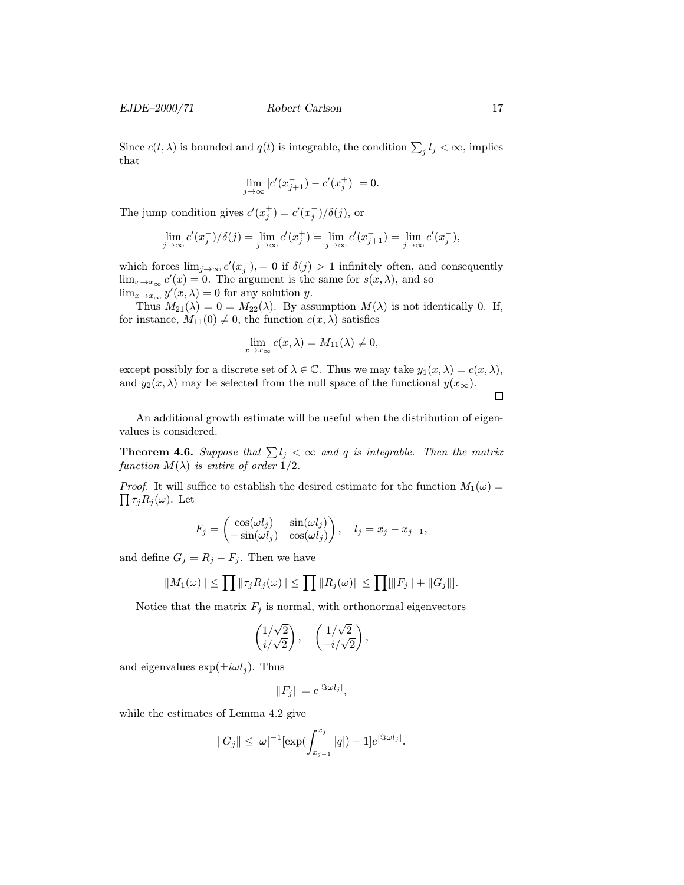EJDE–2000/71 Robert Carlson 17

Since  $c(t, \lambda)$  is bounded and  $q(t)$  is integrable, the condition  $\sum_j l_j < \infty$ , implies that

$$
\lim_{j \to \infty} |c'(x_{j+1}^-) - c'(x_j^+)| = 0.
$$

The jump condition gives  $c'(x_j^+) = c'(x_j^-)/\delta(j)$ , or

$$
\lim_{j \to \infty} c'(x_j^-) / \delta(j) = \lim_{j \to \infty} c'(x_j^+) = \lim_{j \to \infty} c'(x_{j+1}^-) = \lim_{j \to \infty} c'(x_j^-),
$$

which forces  $\lim_{j\to\infty} c'(x_j^-)$ , = 0 if  $\delta(j) > 1$  infinitely often, and consequently  $\lim_{x\to x_\infty} c'(x) = 0$ . The argument is the same for  $s(x, \lambda)$ , and so  $\lim_{x\to x_\infty} y'(x,\lambda) = 0$  for any solution y.

Thus  $M_{21}(\lambda)=0=M_{22}(\lambda)$ . By assumption  $M(\lambda)$  is not identically 0. If, for instance,  $M_{11}(0) \neq 0$ , the function  $c(x, \lambda)$  satisfies

$$
\lim_{x \to x_{\infty}} c(x, \lambda) = M_{11}(\lambda) \neq 0,
$$

except possibly for a discrete set of  $\lambda \in \mathbb{C}$ . Thus we may take  $y_1(x, \lambda) = c(x, \lambda)$ , and  $y_2(x, \lambda)$  may be selected from the null space of the functional  $y(x_\infty)$ .

 $\Box$ 

An additional growth estimate will be useful when the distribution of eigenvalues is considered.

**Theorem 4.6.** Suppose that  $\sum l_j < \infty$  and q is integrable. Then the matrix function  $M(\lambda)$  is entire of order 1/2.

*Proof.* It will suffice to establish the desired estimate for the function  $M_1(\omega) =$  $\prod \tau_j R_j(\omega)$ . Let

$$
F_j = \begin{pmatrix} \cos(\omega l_j) & \sin(\omega l_j) \\ -\sin(\omega l_j) & \cos(\omega l_j) \end{pmatrix}, \quad l_j = x_j - x_{j-1},
$$

and define  $G_j = R_j - F_j$ . Then we have

$$
||M_1(\omega)|| \le \prod ||\tau_j R_j(\omega)|| \le \prod ||R_j(\omega)|| \le \prod [||F_j|| + ||G_j||].
$$

Notice that the matrix  $F_j$  is normal, with orthonormal eigenvectors

$$
\begin{pmatrix} 1/\sqrt{2} \\ i/\sqrt{2} \end{pmatrix}, \quad \begin{pmatrix} 1/\sqrt{2} \\ -i/\sqrt{2} \end{pmatrix},
$$

and eigenvalues  $\exp(\pm i\omega l_i)$ . Thus

$$
||F_j|| = e^{|\Im \omega l_j|},
$$

while the estimates of Lemma 4.2 give

$$
||G_j|| \leq |\omega|^{-1} [\exp(\int_{x_{j-1}}^{x_j} |q|) - 1] e^{|\Im \omega l_j|}.
$$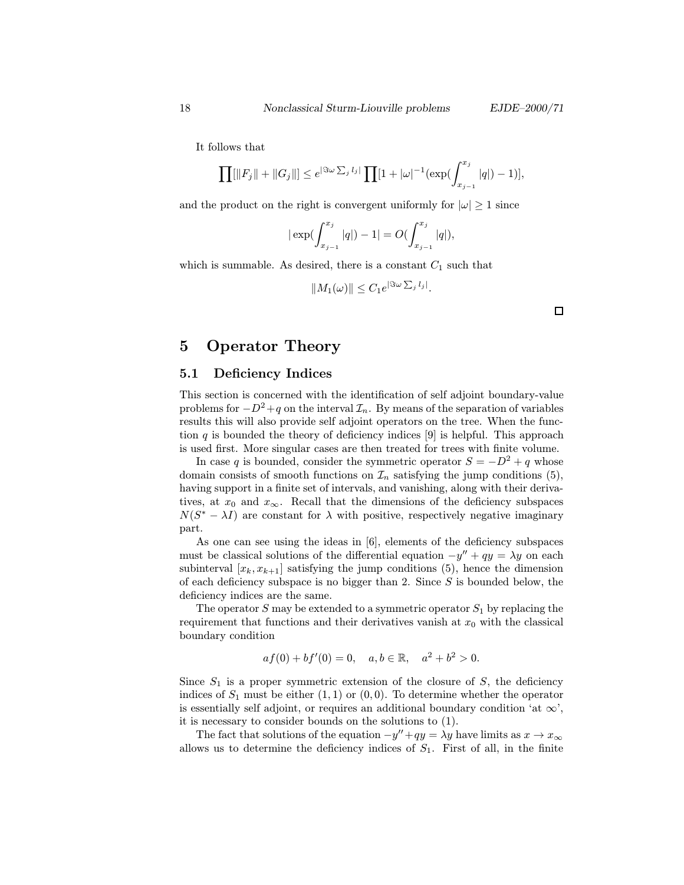It follows that

$$
\prod[\|F_j\|+\|G_j\|] \leq e^{|\Im\omega\sum_j l_j|} \prod[1+|\omega|^{-1}(\exp(\int_{x_{j-1}}^{x_j} |q|)-1)],
$$

and the product on the right is convergent uniformly for  $|\omega| \geq 1$  since

$$
|\exp(\int_{x_{j-1}}^{x_j} |q|) - 1| = O(\int_{x_{j-1}}^{x_j} |q|),
$$

which is summable. As desired, there is a constant  $C_1$  such that

$$
||M_1(\omega)|| \leq C_1 e^{|\Im \omega| \sum_j l_j|}.
$$

## 5 Operator Theory

#### 5.1 Deficiency Indices

This section is concerned with the identification of self adjoint boundary-value problems for  $-D^2+q$  on the interval  $\mathcal{I}_n$ . By means of the separation of variables results this will also provide self adjoint operators on the tree. When the function q is bounded the theory of deficiency indices  $[9]$  is helpful. This approach is used first. More singular cases are then treated for trees with finite volume.

In case q is bounded, consider the symmetric operator  $S = -D^2 + q$  whose domain consists of smooth functions on  $\mathcal{I}_n$  satisfying the jump conditions (5), having support in a finite set of intervals, and vanishing, along with their derivatives, at  $x_0$  and  $x_\infty$ . Recall that the dimensions of the deficiency subspaces  $N(S^* - \lambda I)$  are constant for  $\lambda$  with positive, respectively negative imaginary part.

As one can see using the ideas in [6], elements of the deficiency subspaces must be classical solutions of the differential equation  $-y'' + qy = \lambda y$  on each subinterval  $[x_k, x_{k+1}]$  satisfying the jump conditions (5), hence the dimension of each deficiency subspace is no bigger than 2. Since  $S$  is bounded below, the deficiency indices are the same.

The operator  $S$  may be extended to a symmetric operator  $S_1$  by replacing the requirement that functions and their derivatives vanish at  $x_0$  with the classical boundary condition

$$
af(0) + bf'(0) = 0, \quad a, b \in \mathbb{R}, \quad a^2 + b^2 > 0.
$$

Since  $S_1$  is a proper symmetric extension of the closure of  $S$ , the deficiency indices of  $S_1$  must be either  $(1, 1)$  or  $(0, 0)$ . To determine whether the operator is essentially self adjoint, or requires an additional boundary condition 'at  $\infty$ ', it is necessary to consider bounds on the solutions to (1).

The fact that solutions of the equation  $-y''+qy = \lambda y$  have limits as  $x \to x_{\infty}$ allows us to determine the deficiency indices of  $S_1$ . First of all, in the finite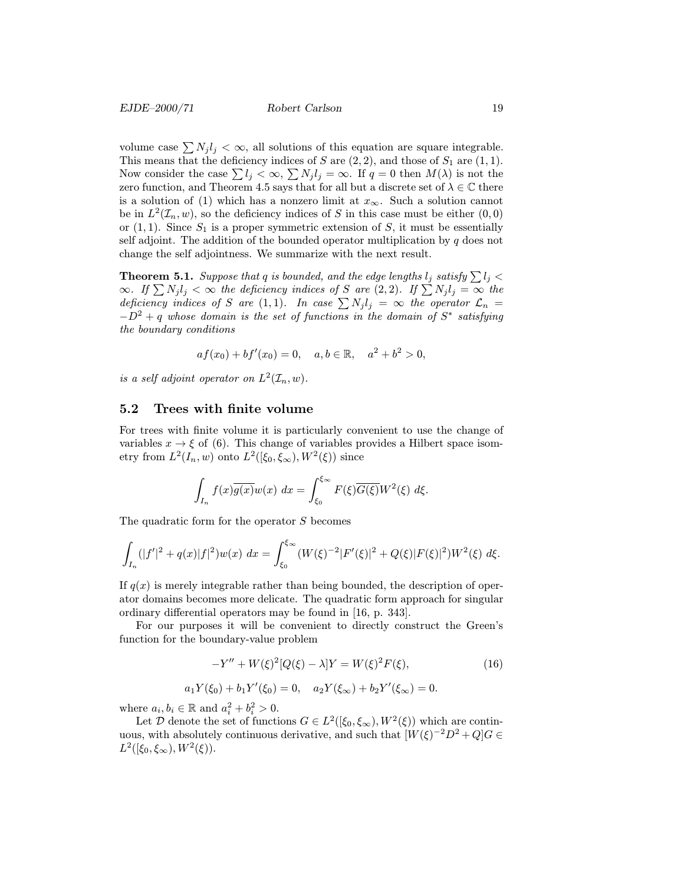volume case  $\sum N_j l_j < \infty$ , all solutions of this equation are square integrable. This means that the deficiency indices of S are  $(2, 2)$ , and those of  $S_1$  are  $(1, 1)$ . Now consider the case  $\sum l_j < \infty$ ,  $\sum N_j l_j = \infty$ . If  $q = 0$  then  $M(\lambda)$  is not the zero function, and Theorem 4.5 says that for all but a discrete set of  $\lambda \in \mathbb{C}$  there is a solution of (1) which has a nonzero limit at  $x_{\infty}$ . Such a solution cannot be in  $L^2(\mathcal{I}_n, w)$ , so the deficiency indices of S in this case must be either  $(0, 0)$ or  $(1, 1)$ . Since  $S_1$  is a proper symmetric extension of S, it must be essentially self adjoint. The addition of the bounded operator multiplication by  $q$  does not change the self adjointness. We summarize with the next result.

**Theorem 5.1.** Suppose that q is bounded, and the edge lengths  $l_j$  satisfy  $\sum l_j$  <  $\infty$ . If  $\sum N_j l_j < \infty$  the deficiency indices of S are  $(2, 2)$ . If  $\sum N_j l_j = \infty$  the deficiency indices of S are (1,1). In case  $\sum N_j l_j = \infty$  the operator  $\mathcal{L}_n =$  $-D^2 + q$  whose domain is the set of functions in the domain of  $S^*$  satisfying the boundary conditions

$$
af(x_0) + bf'(x_0) = 0
$$
,  $a, b \in \mathbb{R}$ ,  $a^2 + b^2 > 0$ ,

is a self adjoint operator on  $L^2(\mathcal{I}_n, w)$ .

#### 5.2 Trees with finite volume

For trees with finite volume it is particularly convenient to use the change of variables  $x \to \xi$  of (6). This change of variables provides a Hilbert space isometry from  $L^2(I_n, w)$  onto  $L^2([\xi_0, \xi_\infty), W^2(\xi))$  since

$$
\int_{I_n} f(x)\overline{g(x)}w(x) dx = \int_{\xi_0}^{\xi_{\infty}} F(\xi)\overline{G(\xi)}W^2(\xi) d\xi.
$$

The quadratic form for the operator S becomes

$$
\int_{I_n} (|f'|^2 + q(x)|f|^2)w(x) dx = \int_{\xi_0}^{\xi_\infty} (W(\xi)^{-2}|F'(\xi)|^2 + Q(\xi)|F(\xi)|^2)W^2(\xi) d\xi.
$$

If  $q(x)$  is merely integrable rather than being bounded, the description of operator domains becomes more delicate. The quadratic form approach for singular ordinary differential operators may be found in [16, p. 343].

For our purposes it will be convenient to directly construct the Green's function for the boundary-value problem

$$
-Y'' + W(\xi)^{2} [Q(\xi) - \lambda] Y = W(\xi)^{2} F(\xi), \qquad (16)
$$

$$
a_1 Y(\xi_0) + b_1 Y'(\xi_0) = 0
$$
,  $a_2 Y(\xi_\infty) + b_2 Y'(\xi_\infty) = 0$ .

where  $a_i, b_i \in \mathbb{R}$  and  $a_i^2 + b_i^2 > 0$ .

Let D denote the set of functions  $G \in L^2([\xi_0, \xi_\infty), W^2(\xi))$  which are continuous, with absolutely continuous derivative, and such that  $[W(\xi)^{-2}D^2 + Q]G \in$  $L^2([ \xi_0, \xi_\infty), W^2(\xi)).$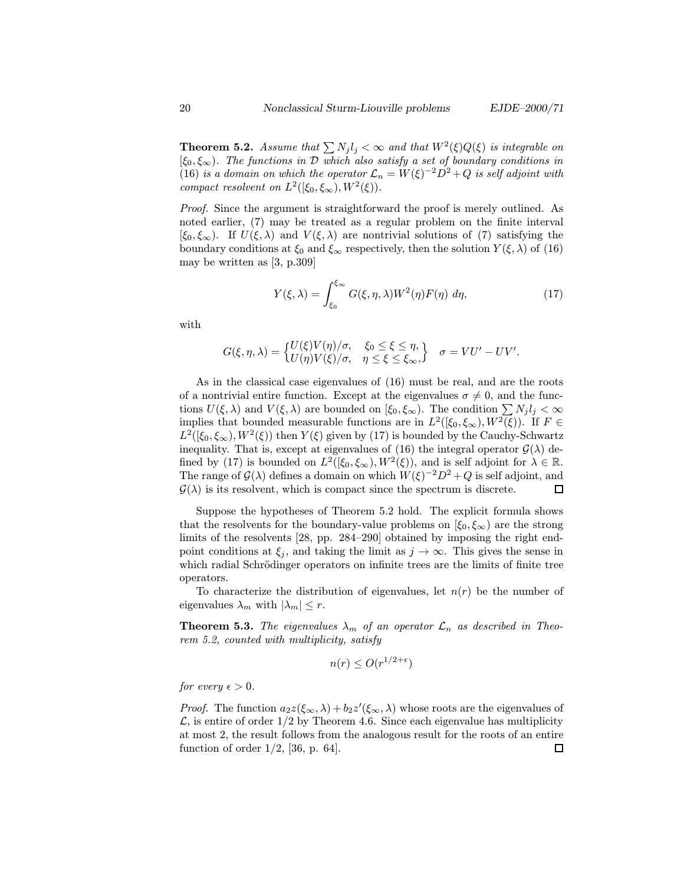**Theorem 5.2.** Assume that  $\sum N_j l_j < \infty$  and that  $W^2(\xi)Q(\xi)$  is integrable on  $[\xi_0, \xi_\infty]$ . The functions in  $\mathcal D$  which also satisfy a set of boundary conditions in (16) is a domain on which the operator  $\mathcal{L}_n = W(\xi)^{-2} D^2 + Q$  is self adjoint with compact resolvent on  $L^2([\xi_0, \xi_\infty), W^2(\xi))$ .

Proof. Since the argument is straightforward the proof is merely outlined. As noted earlier, (7) may be treated as a regular problem on the finite interval  $[\xi_0, \xi_\infty]$ . If  $U(\xi, \lambda)$  and  $V(\xi, \lambda)$  are nontrivial solutions of (7) satisfying the boundary conditions at  $\xi_0$  and  $\xi_\infty$  respectively, then the solution  $Y(\xi, \lambda)$  of (16) may be written as [3, p.309]

$$
Y(\xi,\lambda) = \int_{\xi_0}^{\xi_{\infty}} G(\xi,\eta,\lambda) W^2(\eta) F(\eta) d\eta,
$$
 (17)

with

$$
G(\xi, \eta, \lambda) = \begin{cases} U(\xi)V(\eta)/\sigma, & \xi_0 \leq \xi \leq \eta, \\ U(\eta)V(\xi)/\sigma, & \eta \leq \xi \leq \xi_{\infty}, \end{cases} \quad \sigma = VU' - UV'.
$$

As in the classical case eigenvalues of (16) must be real, and are the roots of a nontrivial entire function. Except at the eigenvalues  $\sigma \neq 0$ , and the functions  $U(\xi, \lambda)$  and  $V(\xi, \lambda)$  are bounded on  $[\xi_0, \xi_\infty)$ . The condition  $\sum N_j l_j < \infty$ implies that bounded measurable functions are in  $L^2([\xi_0, \xi_\infty), W^2(\xi))$ . If  $F \in$  $L^2([\xi_0, \xi_\infty), W^2(\xi))$  then  $Y(\xi)$  given by (17) is bounded by the Cauchy-Schwartz inequality. That is, except at eigenvalues of (16) the integral operator  $\mathcal{G}(\lambda)$  defined by (17) is bounded on  $L^2([\xi_0, \xi_\infty), W^2(\xi))$ , and is self adjoint for  $\lambda \in \mathbb{R}$ . The range of  $\mathcal{G}(\lambda)$  defines a domain on which  $W(\xi)^{-2}D^2+Q$  is self adjoint, and  $\mathcal{G}(\lambda)$  is its resolvent, which is compact since the spectrum is discrete.  $\Box$ 

Suppose the hypotheses of Theorem 5.2 hold. The explicit formula shows that the resolvents for the boundary-value problems on  $[\xi_0, \xi_\infty)$  are the strong limits of the resolvents [28, pp. 284–290] obtained by imposing the right endpoint conditions at  $\xi_j$ , and taking the limit as  $j \to \infty$ . This gives the sense in which radial Schrödinger operators on infinite trees are the limits of finite tree operators.

To characterize the distribution of eigenvalues, let  $n(r)$  be the number of eigenvalues  $\lambda_m$  with  $|\lambda_m| \leq r$ .

**Theorem 5.3.** The eigenvalues  $\lambda_m$  of an operator  $\mathcal{L}_n$  as described in Theorem 5.2, counted with multiplicity, satisfy

$$
n(r) \le O(r^{1/2+\epsilon})
$$

for every  $\epsilon > 0$ .

*Proof.* The function  $a_2z(\xi_\infty, \lambda) + b_2z'(\xi_\infty, \lambda)$  whose roots are the eigenvalues of  $\mathcal{L}$ , is entire of order 1/2 by Theorem 4.6. Since each eigenvalue has multiplicity at most 2, the result follows from the analogous result for the roots of an entire function of order  $1/2$ , [36, p. 64]. 口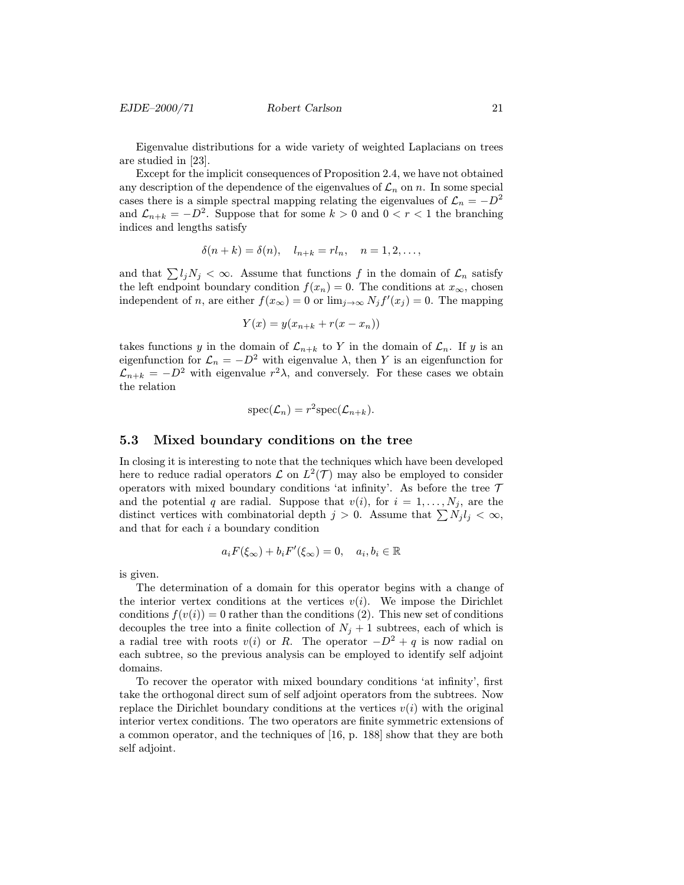Eigenvalue distributions for a wide variety of weighted Laplacians on trees are studied in [23].

Except for the implicit consequences of Proposition 2.4, we have not obtained any description of the dependence of the eigenvalues of  $\mathcal{L}_n$  on n. In some special cases there is a simple spectral mapping relating the eigenvalues of  $\mathcal{L}_n = -D^2$ and  $\mathcal{L}_{n+k} = -D^2$ . Suppose that for some  $k > 0$  and  $0 < r < 1$  the branching indices and lengths satisfy

$$
\delta(n+k) = \delta(n), \quad l_{n+k} = r l_n, \quad n = 1, 2, \dots,
$$

and that  $\sum l_j N_j < \infty$ . Assume that functions f in the domain of  $\mathcal{L}_n$  satisfy the left endpoint boundary condition  $f(x_n) = 0$ . The conditions at  $x_{\infty}$ , chosen independent of *n*, are either  $f(x_{\infty}) = 0$  or  $\lim_{j \to \infty} N_j f'(x_j) = 0$ . The mapping

$$
Y(x) = y(x_{n+k} + r(x - x_n))
$$

takes functions y in the domain of  $\mathcal{L}_{n+k}$  to Y in the domain of  $\mathcal{L}_n$ . If y is an eigenfunction for  $\mathcal{L}_n = -D^2$  with eigenvalue  $\lambda$ , then Y is an eigenfunction for  $\mathcal{L}_{n+k} = -D^2$  with eigenvalue  $r^2\lambda$ , and conversely. For these cases we obtain the relation

$$
\mathrm{spec}(\mathcal{L}_n)=r^2\mathrm{spec}(\mathcal{L}_{n+k}).
$$

#### 5.3 Mixed boundary conditions on the tree

In closing it is interesting to note that the techniques which have been developed here to reduce radial operators  $\mathcal L$  on  $L^2(\mathcal T)$  may also be employed to consider operators with mixed boundary conditions 'at infinity'. As before the tree  $\mathcal T$ and the potential q are radial. Suppose that  $v(i)$ , for  $i = 1, \ldots, N_j$ , are the distinct vertices with combinatorial depth  $j > 0$ . Assume that  $\sum N_j l_j < \infty$ , and that for each  $i$  a boundary condition

$$
a_i F(\xi_\infty) + b_i F'(\xi_\infty) = 0, \quad a_i, b_i \in \mathbb{R}
$$

is given.

The determination of a domain for this operator begins with a change of the interior vertex conditions at the vertices  $v(i)$ . We impose the Dirichlet conditions  $f(v(i)) = 0$  rather than the conditions (2). This new set of conditions decouples the tree into a finite collection of  $N_j + 1$  subtrees, each of which is a radial tree with roots  $v(i)$  or R. The operator  $-D^2 + q$  is now radial on each subtree, so the previous analysis can be employed to identify self adjoint domains.

To recover the operator with mixed boundary conditions 'at infinity', first take the orthogonal direct sum of self adjoint operators from the subtrees. Now replace the Dirichlet boundary conditions at the vertices  $v(i)$  with the original interior vertex conditions. The two operators are finite symmetric extensions of a common operator, and the techniques of [16, p. 188] show that they are both self adjoint.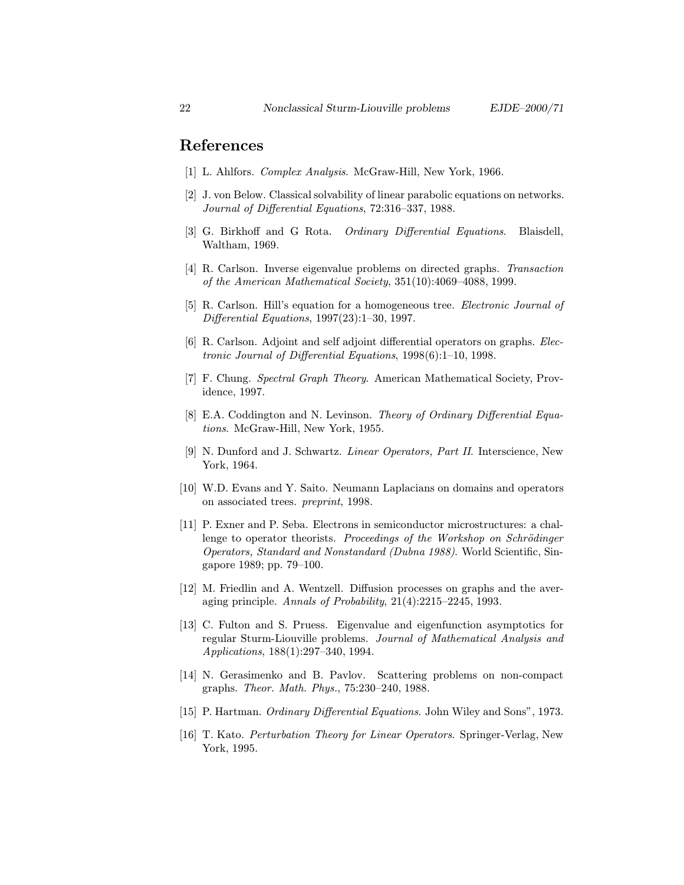## References

- [1] L. Ahlfors. *Complex Analysis*. McGraw-Hill, New York, 1966.
- [2] J. von Below. Classical solvability of linear parabolic equations on networks. Journal of Differential Equations, 72:316–337, 1988.
- [3] G. Birkhoff and G Rota. *Ordinary Differential Equations*. Blaisdell, Waltham, 1969.
- [4] R. Carlson. Inverse eigenvalue problems on directed graphs. Transaction of the American Mathematical Society, 351(10):4069–4088, 1999.
- [5] R. Carlson. Hill's equation for a homogeneous tree. Electronic Journal of Differential Equations, 1997(23):1–30, 1997.
- [6] R. Carlson. Adjoint and self adjoint differential operators on graphs. Electronic Journal of Differential Equations, 1998(6):1–10, 1998.
- [7] F. Chung. Spectral Graph Theory. American Mathematical Society, Providence, 1997.
- [8] E.A. Coddington and N. Levinson. Theory of Ordinary Differential Equations. McGraw-Hill, New York, 1955.
- [9] N. Dunford and J. Schwartz. Linear Operators, Part II. Interscience, New York, 1964.
- [10] W.D. Evans and Y. Saito. Neumann Laplacians on domains and operators on associated trees. preprint, 1998.
- [11] P. Exner and P. Seba. Electrons in semiconductor microstructures: a challenge to operator theorists. *Proceedings of the Workshop on Schrödinger* Operators, Standard and Nonstandard (Dubna 1988). World Scientific, Singapore 1989; pp. 79–100.
- [12] M. Friedlin and A. Wentzell. Diffusion processes on graphs and the averaging principle. Annals of Probability, 21(4):2215–2245, 1993.
- [13] C. Fulton and S. Pruess. Eigenvalue and eigenfunction asymptotics for regular Sturm-Liouville problems. Journal of Mathematical Analysis and Applications, 188(1):297–340, 1994.
- [14] N. Gerasimenko and B. Pavlov. Scattering problems on non-compact graphs. Theor. Math. Phys., 75:230–240, 1988.
- [15] P. Hartman. *Ordinary Differential Equations*. John Wiley and Sons", 1973.
- [16] T. Kato. Perturbation Theory for Linear Operators. Springer-Verlag, New York, 1995.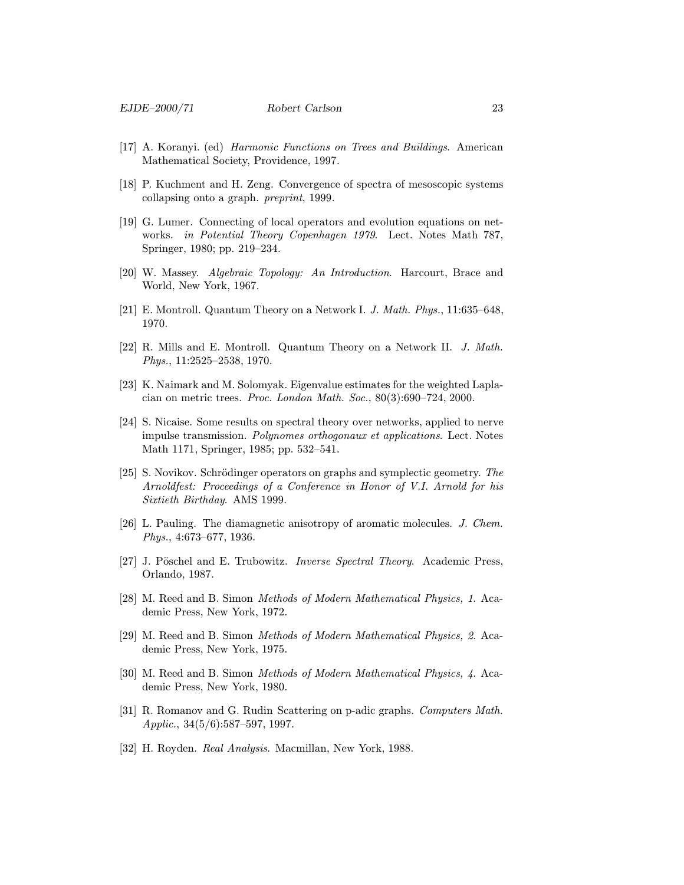- [17] A. Koranyi. (ed) Harmonic Functions on Trees and Buildings. American Mathematical Society, Providence, 1997.
- [18] P. Kuchment and H. Zeng. Convergence of spectra of mesoscopic systems collapsing onto a graph. preprint, 1999.
- [19] G. Lumer. Connecting of local operators and evolution equations on networks. in Potential Theory Copenhagen 1979. Lect. Notes Math 787, Springer, 1980; pp. 219–234.
- [20] W. Massey. Algebraic Topology: An Introduction. Harcourt, Brace and World, New York, 1967.
- [21] E. Montroll. Quantum Theory on a Network I. J. Math. Phys., 11:635–648, 1970.
- [22] R. Mills and E. Montroll. Quantum Theory on a Network II. J. Math. Phys., 11:2525–2538, 1970.
- [23] K. Naimark and M. Solomyak. Eigenvalue estimates for the weighted Laplacian on metric trees. Proc. London Math. Soc., 80(3):690–724, 2000.
- [24] S. Nicaise. Some results on spectral theory over networks, applied to nerve impulse transmission. Polynomes orthogonaux et applications. Lect. Notes Math 1171, Springer, 1985; pp. 532–541.
- [25] S. Novikov. Schrödinger operators on graphs and symplectic geometry. The Arnoldfest: Proceedings of a Conference in Honor of V.I. Arnold for his Sixtieth Birthday. AMS 1999.
- [26] L. Pauling. The diamagnetic anisotropy of aromatic molecules. J. Chem. Phys., 4:673–677, 1936.
- [27] J. Pöschel and E. Trubowitz. *Inverse Spectral Theory*. Academic Press, Orlando, 1987.
- [28] M. Reed and B. Simon Methods of Modern Mathematical Physics, 1. Academic Press, New York, 1972.
- [29] M. Reed and B. Simon Methods of Modern Mathematical Physics, 2. Academic Press, New York, 1975.
- [30] M. Reed and B. Simon Methods of Modern Mathematical Physics, 4. Academic Press, New York, 1980.
- [31] R. Romanov and G. Rudin Scattering on p-adic graphs. Computers Math. Applic., 34(5/6):587–597, 1997.
- [32] H. Royden. Real Analysis. Macmillan, New York, 1988.